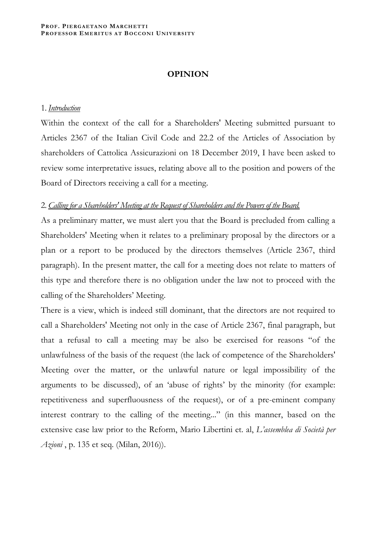## **OPINION**

## 1. *Introduction*

Within the context of the call for a Shareholders' Meeting submitted pursuant to Articles 2367 of the Italian Civil Code and 22.2 of the Articles of Association by shareholders of Cattolica Assicurazioni on 18 December 2019, I have been asked to review some interpretative issues, relating above all to the position and powers of the Board of Directors receiving a call for a meeting.

## 2. *Calling for a Shareholders' Meeting at the Request of Shareholders and the Powers of the Board.*

As a preliminary matter, we must alert you that the Board is precluded from calling a Shareholders' Meeting when it relates to a preliminary proposal by the directors or a plan or a report to be produced by the directors themselves (Article 2367, third paragraph). In the present matter, the call for a meeting does not relate to matters of this type and therefore there is no obligation under the law not to proceed with the calling of the Shareholders' Meeting.

There is a view, which is indeed still dominant, that the directors are not required to call a Shareholders' Meeting not only in the case of Article 2367, final paragraph, but that a refusal to call a meeting may be also be exercised for reasons "of the unlawfulness of the basis of the request (the lack of competence of the Shareholders' Meeting over the matter, or the unlawful nature or legal impossibility of the arguments to be discussed), of an 'abuse of rights' by the minority (for example: repetitiveness and superfluousness of the request), or of a pre-eminent company interest contrary to the calling of the meeting..." (in this manner, based on the extensive case law prior to the Reform, Mario Libertini et. al, *L'assemblea di Società per Azioni* , p. 135 et seq. (Milan, 2016)).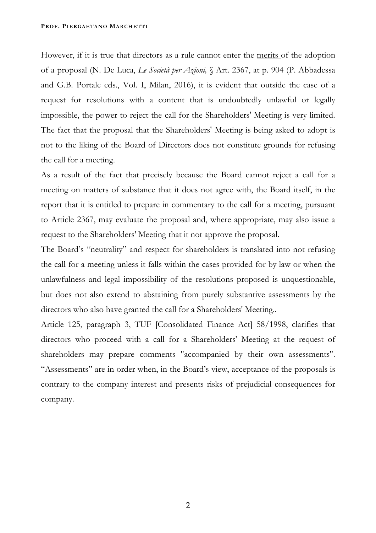However, if it is true that directors as a rule cannot enter the merits of the adoption of a proposal (N. De Luca, *Le Società per Azioni,* § Art. 2367, at p. 904 (P. Abbadessa and G.B. Portale eds., Vol. I, Milan, 2016), it is evident that outside the case of a request for resolutions with a content that is undoubtedly unlawful or legally impossible, the power to reject the call for the Shareholders' Meeting is very limited. The fact that the proposal that the Shareholders' Meeting is being asked to adopt is not to the liking of the Board of Directors does not constitute grounds for refusing the call for a meeting.

As a result of the fact that precisely because the Board cannot reject a call for a meeting on matters of substance that it does not agree with, the Board itself, in the report that it is entitled to prepare in commentary to the call for a meeting, pursuant to Article 2367, may evaluate the proposal and, where appropriate, may also issue a request to the Shareholders' Meeting that it not approve the proposal.

The Board's "neutrality" and respect for shareholders is translated into not refusing the call for a meeting unless it falls within the cases provided for by law or when the unlawfulness and legal impossibility of the resolutions proposed is unquestionable, but does not also extend to abstaining from purely substantive assessments by the directors who also have granted the call for a Shareholders' Meeting..

Article 125, paragraph 3, TUF [Consolidated Finance Act] 58/1998, clarifies that directors who proceed with a call for a Shareholders' Meeting at the request of shareholders may prepare comments "accompanied by their own assessments". "Assessments" are in order when, in the Board's view, acceptance of the proposals is contrary to the company interest and presents risks of prejudicial consequences for company.

2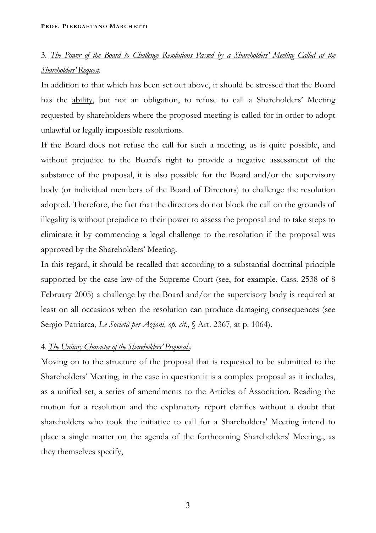# 3. *The Power of the Board to Challenge Resolutions Passed by a Shareholders' Meeting Called at the Shareholders' Request.*

In addition to that which has been set out above, it should be stressed that the Board has the ability, but not an obligation, to refuse to call a Shareholders' Meeting requested by shareholders where the proposed meeting is called for in order to adopt unlawful or legally impossible resolutions.

If the Board does not refuse the call for such a meeting, as is quite possible, and without prejudice to the Board's right to provide a negative assessment of the substance of the proposal, it is also possible for the Board and/or the supervisory body (or individual members of the Board of Directors) to challenge the resolution adopted. Therefore, the fact that the directors do not block the call on the grounds of illegality is without prejudice to their power to assess the proposal and to take steps to eliminate it by commencing a legal challenge to the resolution if the proposal was approved by the Shareholders' Meeting.

In this regard, it should be recalled that according to a substantial doctrinal principle supported by the case law of the Supreme Court (see, for example, Cass. 2538 of 8 February 2005) a challenge by the Board and/or the supervisory body is required at least on all occasions when the resolution can produce damaging consequences (see Sergio Patriarca, *Le Società per Azioni, op. cit.,* § Art. 2367*,* at p. 1064).

## 4. *The Unitary Character of the Shareholders' Proposals.*

Moving on to the structure of the proposal that is requested to be submitted to the Shareholders' Meeting, in the case in question it is a complex proposal as it includes, as a unified set, a series of amendments to the Articles of Association. Reading the motion for a resolution and the explanatory report clarifies without a doubt that shareholders who took the initiative to call for a Shareholders' Meeting intend to place a single matter on the agenda of the forthcoming Shareholders' Meeting., as they themselves specify,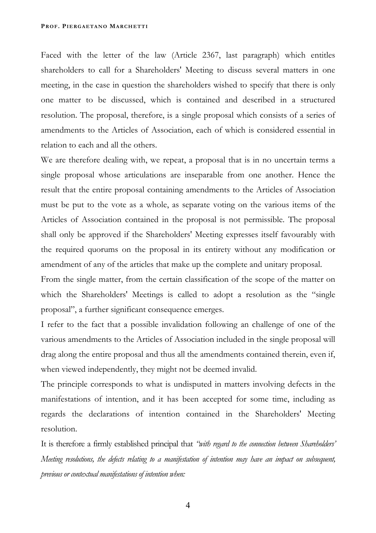Faced with the letter of the law (Article 2367, last paragraph) which entitles shareholders to call for a Shareholders' Meeting to discuss several matters in one meeting, in the case in question the shareholders wished to specify that there is only one matter to be discussed, which is contained and described in a structured resolution. The proposal, therefore, is a single proposal which consists of a series of amendments to the Articles of Association, each of which is considered essential in relation to each and all the others.

We are therefore dealing with, we repeat, a proposal that is in no uncertain terms a single proposal whose articulations are inseparable from one another. Hence the result that the entire proposal containing amendments to the Articles of Association must be put to the vote as a whole, as separate voting on the various items of the Articles of Association contained in the proposal is not permissible. The proposal shall only be approved if the Shareholders' Meeting expresses itself favourably with the required quorums on the proposal in its entirety without any modification or amendment of any of the articles that make up the complete and unitary proposal.

From the single matter, from the certain classification of the scope of the matter on which the Shareholders' Meetings is called to adopt a resolution as the "single proposal", a further significant consequence emerges.

I refer to the fact that a possible invalidation following an challenge of one of the various amendments to the Articles of Association included in the single proposal will drag along the entire proposal and thus all the amendments contained therein, even if, when viewed independently, they might not be deemed invalid.

The principle corresponds to what is undisputed in matters involving defects in the manifestations of intention, and it has been accepted for some time, including as regards the declarations of intention contained in the Shareholders' Meeting resolution.

It is therefore a firmly established principal that *"with regard to the connection between Shareholders' Meeting resolutions, the defects relating to a manifestation of intention may have an impact on subsequent, previous or contextual manifestations of intention when:* 

4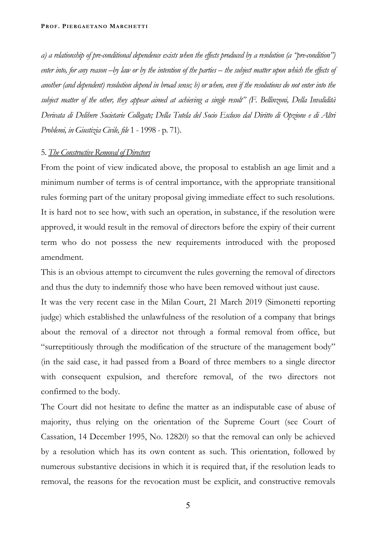*a) a relationship of pre-conditional dependence exists when the effects produced by a resolution (a "pre-condition") enter into, for any reason –by law or by the intention of the parties – the subject matter upon which the effects of another (and dependent) resolution depend in broad sense; b) or when, even if the resolutions do not enter into the subject matter of the other, they appear aimed at achieving a single result" (F. Bellinzoni, Della Invalidità Derivata di Delibere Societarie Collegate; Della Tutela del Socio Escluso dal Diritto di Opzione e di Altri Problemi, in Giustizia Civile, file* 1 - 1998 - p. 71).

## 5. *The Constructive Removal of Directors*

From the point of view indicated above, the proposal to establish an age limit and a minimum number of terms is of central importance, with the appropriate transitional rules forming part of the unitary proposal giving immediate effect to such resolutions. It is hard not to see how, with such an operation, in substance, if the resolution were approved, it would result in the removal of directors before the expiry of their current term who do not possess the new requirements introduced with the proposed amendment.

This is an obvious attempt to circumvent the rules governing the removal of directors and thus the duty to indemnify those who have been removed without just cause.

It was the very recent case in the Milan Court, 21 March 2019 (Simonetti reporting judge) which established the unlawfulness of the resolution of a company that brings about the removal of a director not through a formal removal from office, but "surreptitiously through the modification of the structure of the management body" (in the said case, it had passed from a Board of three members to a single director with consequent expulsion, and therefore removal, of the two directors not confirmed to the body.

The Court did not hesitate to define the matter as an indisputable case of abuse of majority, thus relying on the orientation of the Supreme Court (see Court of Cassation, 14 December 1995, No. 12820) so that the removal can only be achieved by a resolution which has its own content as such. This orientation, followed by numerous substantive decisions in which it is required that, if the resolution leads to removal, the reasons for the revocation must be explicit, and constructive removals

5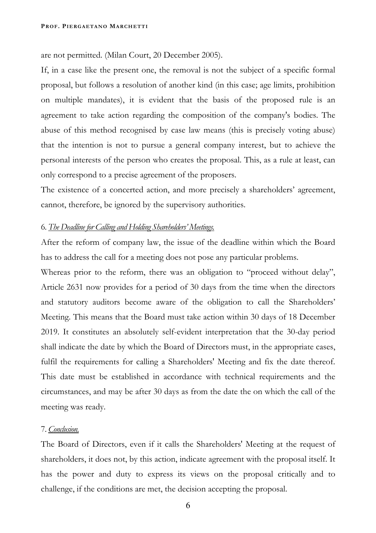are not permitted. (Milan Court, 20 December 2005).

If, in a case like the present one, the removal is not the subject of a specific formal proposal, but follows a resolution of another kind (in this case; age limits, prohibition on multiple mandates), it is evident that the basis of the proposed rule is an agreement to take action regarding the composition of the company's bodies. The abuse of this method recognised by case law means (this is precisely voting abuse) that the intention is not to pursue a general company interest, but to achieve the personal interests of the person who creates the proposal. This, as a rule at least, can only correspond to a precise agreement of the proposers.

The existence of a concerted action, and more precisely a shareholders' agreement, cannot, therefore, be ignored by the supervisory authorities.

## 6. *The Deadline for Calling and Holding Shareholders' Meetings.*

After the reform of company law, the issue of the deadline within which the Board has to address the call for a meeting does not pose any particular problems.

Whereas prior to the reform, there was an obligation to "proceed without delay", Article 2631 now provides for a period of 30 days from the time when the directors and statutory auditors become aware of the obligation to call the Shareholders' Meeting. This means that the Board must take action within 30 days of 18 December 2019. It constitutes an absolutely self-evident interpretation that the 30-day period shall indicate the date by which the Board of Directors must, in the appropriate cases, fulfil the requirements for calling a Shareholders' Meeting and fix the date thereof. This date must be established in accordance with technical requirements and the circumstances, and may be after 30 days as from the date the on which the call of the meeting was ready.

## 7. *Conclusion.*

The Board of Directors, even if it calls the Shareholders' Meeting at the request of shareholders, it does not, by this action, indicate agreement with the proposal itself. It has the power and duty to express its views on the proposal critically and to challenge, if the conditions are met, the decision accepting the proposal.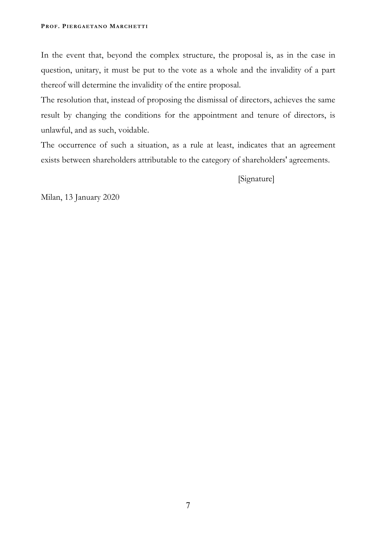In the event that, beyond the complex structure, the proposal is, as in the case in question, unitary, it must be put to the vote as a whole and the invalidity of a part thereof will determine the invalidity of the entire proposal.

The resolution that, instead of proposing the dismissal of directors, achieves the same result by changing the conditions for the appointment and tenure of directors, is unlawful, and as such, voidable.

The occurrence of such a situation, as a rule at least, indicates that an agreement exists between shareholders attributable to the category of shareholders' agreements.

[Signature]

Milan, 13 January 2020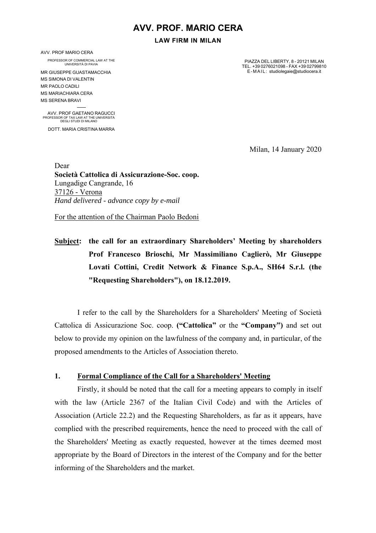## **AVV. PROF. MARIO CERA**

**LAW FIRM IN MILAN** 

AVV. PROF MARIO CERA

PROFESSOR OF COMMERCIAL LAW AT THE UNIVERSITÀ DI PAVIA

MR GIUSEPPE GUASTAMACCHIA MS SIMONA DI VALENTIN MR PAOLO CADILI MS MARIACHIARA CERA MS SERENA BRAVI

1 AVV. PROF GAETANO RAGUCCI PROFESSOR OF TAX LAW AT THE UNIVERSITÀ DEGLI STUDI DI MILANO

DOTT. MARIA CRISTINA MARRA

PIAZZA DEL LIBERTY, 8 - 20121 MILAN TEL. +39 0276021098 - FAX +39 02799810 E-MAIL: studiolegaie@studiocera.it

Milan, 14 January 2020

Dear **Società Cattolica di Assicurazione-Soc. coop.**  Lungadige Cangrande, 16 37126 - Verona *Hand delivered* - *advance copy by e-mail* 

For the attention of the Chairman Paolo Bedoni

**Subject: the call for an extraordinary Shareholders' Meeting by shareholders Prof Francesco Brioschi, Mr Massimiliano Caglierò, Mr Giuseppe Lovati Cottini, Credit Network & Finance S.p.A., SH64 S.r.l. (the "Requesting Shareholders"), on 18.12.2019.** 

I refer to the call by the Shareholders for a Shareholders' Meeting of Società Cattolica di Assicurazione Soc. coop. **("Cattolica"** or the **"Company")** and set out below to provide my opinion on the lawfulness of the company and, in particular, of the proposed amendments to the Articles of Association thereto.

## **1. Formal Compliance of the Call for a Shareholders' Meeting**

Firstly, it should be noted that the call for a meeting appears to comply in itself with the law (Article 2367 of the Italian Civil Code) and with the Articles of Association (Article 22.2) and the Requesting Shareholders, as far as it appears, have complied with the prescribed requirements, hence the need to proceed with the call of the Shareholders' Meeting as exactly requested, however at the times deemed most appropriate by the Board of Directors in the interest of the Company and for the better informing of the Shareholders and the market.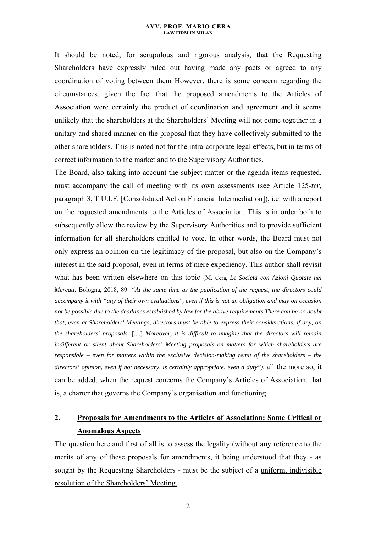It should be noted, for scrupulous and rigorous analysis, that the Requesting Shareholders have expressly ruled out having made any pacts or agreed to any coordination of voting between them However, there is some concern regarding the circumstances, given the fact that the proposed amendments to the Articles of Association were certainly the product of coordination and agreement and it seems unlikely that the shareholders at the Shareholders' Meeting will not come together in a unitary and shared manner on the proposal that they have collectively submitted to the other shareholders. This is noted not for the intra-corporate legal effects, but in terms of correct information to the market and to the Supervisory Authorities.

The Board, also taking into account the subject matter or the agenda items requested, must accompany the call of meeting with its own assessments (see Article 125*-ter,*  paragraph 3, T.U.I.F. [Consolidated Act on Financial Intermediation]), i.e. with a report on the requested amendments to the Articles of Association. This is in order both to subsequently allow the review by the Supervisory Authorities and to provide sufficient information for all shareholders entitled to vote. In other words, the Board must not only express an opinion on the legitimacy of the proposal, but also on the Company's interest in the said proposal, even in terms of mere expediency. This author shall revisit what has been written elsewhere on this topic (M. Cera, *Le Società con Azioni Quotate nei Mercati,* Bologna, 2018, 89: *"At the same time as the publication of the request, the directors could accompany it with "any of their own evaluations", even if this is not an obligation and may on occasion not be possible due to the deadlines established by law for the above requirements There can be no doubt that, even at Shareholders' Meetings, directors must be able to express their considerations, if any, on the shareholders' proposals.* [....] *Moreover, it is difficult to imagine that the directors will remain indifferent or silent about Shareholders' Meeting proposals on matters for which shareholders are responsible – even for matters within the exclusive decision-making remit of the shareholders – the directors' opinion, even if not necessary, is certainly appropriate, even a duty"),* all the more so, it can be added, when the request concerns the Company's Articles of Association, that is, a charter that governs the Company's organisation and functioning.

## **2. Proposals for Amendments to the Articles of Association: Some Critical or Anomalous Aspects**

The question here and first of all is to assess the legality (without any reference to the merits of any of these proposals for amendments, it being understood that they - as sought by the Requesting Shareholders - must be the subject of a uniform, indivisible resolution of the Shareholders' Meeting.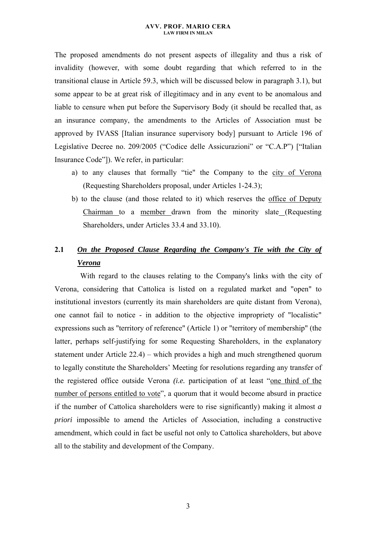The proposed amendments do not present aspects of illegality and thus a risk of invalidity (however, with some doubt regarding that which referred to in the transitional clause in Article 59.3, which will be discussed below in paragraph 3.1), but some appear to be at great risk of illegitimacy and in any event to be anomalous and liable to censure when put before the Supervisory Body (it should be recalled that, as an insurance company, the amendments to the Articles of Association must be approved by IVASS [Italian insurance supervisory body] pursuant to Article 196 of Legislative Decree no. 209/2005 ("Codice delle Assicurazioni" or "C.A.P") ["Italian Insurance Code"]). We refer, in particular:

- a) to any clauses that formally "tie" the Company to the city of Verona (Requesting Shareholders proposal, under Articles 1-24.3);
- b) to the clause (and those related to it) which reserves the office of Deputy Chairman to a member drawn from the minority slate (Requesting Shareholders, under Articles 33.4 and 33.10).

# **2.1** *On the Proposed Clause Regarding the Company's Tie with the City of Verona*

With regard to the clauses relating to the Company's links with the city of Verona, considering that Cattolica is listed on a regulated market and "open" to institutional investors (currently its main shareholders are quite distant from Verona), one cannot fail to notice - in addition to the objective impropriety of "localistic" expressions such as "territory of reference" (Article 1) or "territory of membership" (the latter, perhaps self-justifying for some Requesting Shareholders, in the explanatory statement under Article 22.4) – which provides a high and much strengthened quorum to legally constitute the Shareholders' Meeting for resolutions regarding any transfer of the registered office outside Verona *(i.e.* participation of at least "one third of the number of persons entitled to vote", a quorum that it would become absurd in practice if the number of Cattolica shareholders were to rise significantly) making it almost *a priori* impossible to amend the Articles of Association, including a constructive amendment, which could in fact be useful not only to Cattolica shareholders, but above all to the stability and development of the Company.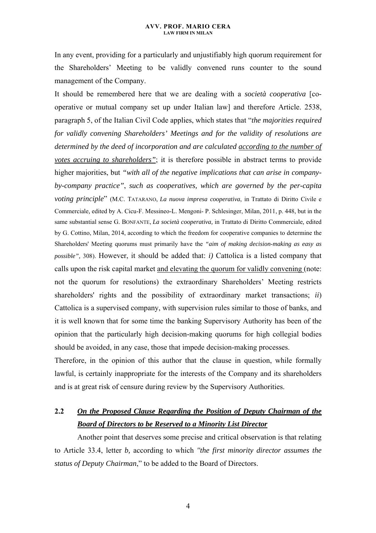In any event, providing for a particularly and unjustifiably high quorum requirement for the Shareholders' Meeting to be validly convened runs counter to the sound management of the Company.

It should be remembered here that we are dealing with a *società cooperativa* [cooperative or mutual company set up under Italian law] and therefore Article. 2538, paragraph 5, of the Italian Civil Code applies, which states that "*the majorities required for validly convening Shareholders' Meetings and for the validity of resolutions are determined by the deed of incorporation and are calculated according to the number of votes accruing to shareholders"*; it is therefore possible in abstract terms to provide higher majorities, but *"with all of the negative implications that can arise in companyby-company practice"*, *such as cooperatives, which are governed by the per-capita voting principle*" (M.C. TATARANO, *La nuova impresa cooperativa*, in Trattato di Diritto Civile e Commerciale*,* edited by A. Cicu-F. Messineo-L. Mengoni- P. Schlesinger, Milan, 2011, p. 448, but in the same substantial sense G. BONFANTE, *La società cooperativa,* in Trattato di Diritto Commerciale*,* edited by G. Cottino, Milan, 2014, according to which the freedom for cooperative companies to determine the Shareholders' Meeting quorums must primarily have the *"aim of making decision-making as easy as possible",* 308). However, it should be added that: *i)* Cattolica is a listed company that calls upon the risk capital market and elevating the quorum for validly convening (note: not the quorum for resolutions) the extraordinary Shareholders' Meeting restricts shareholders' rights and the possibility of extraordinary market transactions; *ii*) Cattolica is a supervised company, with supervision rules similar to those of banks, and it is well known that for some time the banking Supervisory Authority has been of the opinion that the particularly high decision-making quorums for high collegial bodies should be avoided, in any case, those that impede decision-making processes.

Therefore, in the opinion of this author that the clause in question, while formally lawful, is certainly inappropriate for the interests of the Company and its shareholders and is at great risk of censure during review by the Supervisory Authorities.

# **2.2** *On the Proposed Clause Regarding the Position of Deputy Chairman of the Board of Directors to be Reserved to a Minority List Director*

Another point that deserves some precise and critical observation is that relating to Article 33.4, letter *b,* according to which *''the first minority director assumes the status of Deputy Chairman*," to be added to the Board of Directors.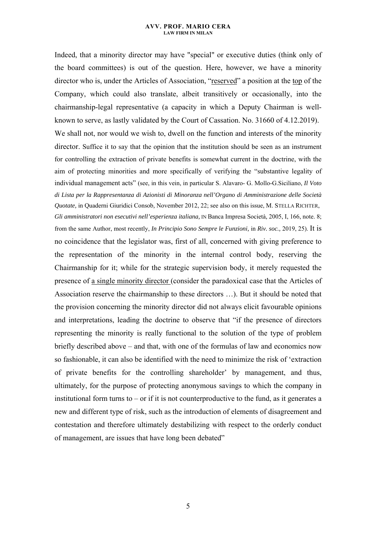Indeed, that a minority director may have "special" or executive duties (think only of the board committees) is out of the question. Here, however, we have a minority director who is, under the Articles of Association, "reserved" a position at the top of the Company, which could also translate, albeit transitively or occasionally, into the chairmanship-legal representative (a capacity in which a Deputy Chairman is wellknown to serve, as lastly validated by the Court of Cassation. No. 31660 of 4.12.2019). We shall not, nor would we wish to, dwell on the function and interests of the minority director. Suffice it to say that the opinion that the institution should be seen as an instrument for controlling the extraction of private benefits is somewhat current in the doctrine, with the aim of protecting minorities and more specifically of verifying the "substantive legality of individual management acts" (see, in this vein, in particular S. Alavaro- G. Mollo-G.Siciliano, *Il Voto di Lista per la Rappresentanza di Azionisti di Minoranza nell'Organo di Amministrazione delle Società Quotate,* in Quaderni Giuridici Consob*,* November 2012, 22; see also on this issue, M. STELLA RICHTER, *Gli amministratori non esecutivi nell'esperienza italiana,* IN Banca Impresa Società*,* 2005, I, 166, note. 8; from the same Author, most recently, *In Principio Sono Sempre le Funzioni,* in *Riv. soc.,* 2019, 25). It is no coincidence that the legislator was, first of all, concerned with giving preference to the representation of the minority in the internal control body, reserving the Chairmanship for it; while for the strategic supervision body, it merely requested the presence of a single minority director (consider the paradoxical case that the Articles of Association reserve the chairmanship to these directors …). But it should be noted that the provision concerning the minority director did not always elicit favourable opinions and interpretations, leading the doctrine to observe that "if the presence of directors representing the minority is really functional to the solution of the type of problem briefly described above – and that, with one of the formulas of law and economics now so fashionable, it can also be identified with the need to minimize the risk of 'extraction of private benefits for the controlling shareholder' by management, and thus, ultimately, for the purpose of protecting anonymous savings to which the company in institutional form turns to  $-$  or if it is not counterproductive to the fund, as it generates a new and different type of risk, such as the introduction of elements of disagreement and contestation and therefore ultimately destabilizing with respect to the orderly conduct of management, are issues that have long been debated"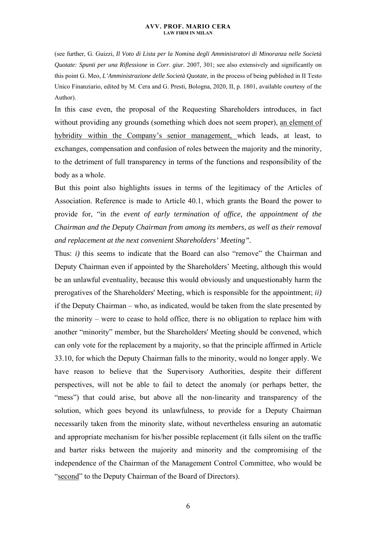(see further, G. Guizzi, *Il Voto di Lista per la Nomina degli Amministratori di Minoranza nelle Società Quotate: Spunti per una Riflessione* in *Corr. giur.* 2007, 301; see also extensively and significantly on this point G. Meo, *L'Amministrazione delle Società Quotate,* in the process of being published in II Testo Unico Finanziario*,* edited by M. Cera and G. Presti, Bologna, 2020, II, p. 1801, available courtesy of the Author).

In this case even, the proposal of the Requesting Shareholders introduces, in fact without providing any grounds (something which does not seem proper), an element of hybridity within the Company's senior management, which leads, at least, to exchanges, compensation and confusion of roles between the majority and the minority, to the detriment of full transparency in terms of the functions and responsibility of the body as a whole.

But this point also highlights issues in terms of the legitimacy of the Articles of Association. Reference is made to Article 40.1, which grants the Board the power to provide for, "in *the event of early termination of office, the appointment of the Chairman and the Deputy Chairman from among its members, as well as their removal and replacement at the next convenient Shareholders' Meeting".* 

Thus: *i)* this seems to indicate that the Board can also "remove" the Chairman and Deputy Chairman even if appointed by the Shareholders' Meeting, although this would be an unlawful eventuality, because this would obviously and unquestionably harm the prerogatives of the Shareholders' Meeting, which is responsible for the appointment; *ii)*  if the Deputy Chairman – who, as indicated, would be taken from the slate presented by the minority – were to cease to hold office, there is no obligation to replace him with another "minority" member, but the Shareholders' Meeting should be convened, which can only vote for the replacement by a majority, so that the principle affirmed in Article 33.10, for which the Deputy Chairman falls to the minority, would no longer apply. We have reason to believe that the Supervisory Authorities, despite their different perspectives, will not be able to fail to detect the anomaly (or perhaps better, the "mess") that could arise, but above all the non-linearity and transparency of the solution, which goes beyond its unlawfulness, to provide for a Deputy Chairman necessarily taken from the minority slate, without nevertheless ensuring an automatic and appropriate mechanism for his/her possible replacement (it falls silent on the traffic and barter risks between the majority and minority and the compromising of the independence of the Chairman of the Management Control Committee, who would be "second" to the Deputy Chairman of the Board of Directors).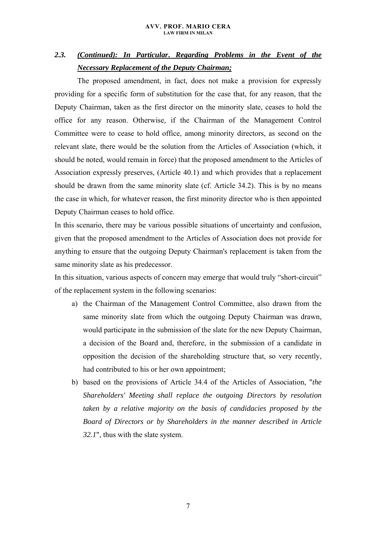# *2.3. (Continued): In Particular***.** *Regarding Problems in the Event of the Necessary Replacement of the Deputy Chairman;*

The proposed amendment, in fact, does not make a provision for expressly providing for a specific form of substitution for the case that, for any reason, that the Deputy Chairman, taken as the first director on the minority slate, ceases to hold the office for any reason. Otherwise, if the Chairman of the Management Control Committee were to cease to hold office, among minority directors, as second on the relevant slate, there would be the solution from the Articles of Association (which, it should be noted, would remain in force) that the proposed amendment to the Articles of Association expressly preserves, (Article 40.1) and which provides that a replacement should be drawn from the same minority slate (cf. Article 34.2). This is by no means the case in which, for whatever reason, the first minority director who is then appointed Deputy Chairman ceases to hold office.

In this scenario, there may be various possible situations of uncertainty and confusion, given that the proposed amendment to the Articles of Association does not provide for anything to ensure that the outgoing Deputy Chairman's replacement is taken from the same minority slate as his predecessor.

In this situation, various aspects of concern may emerge that would truly "short-circuit" of the replacement system in the following scenarios:

- a) the Chairman of the Management Control Committee, also drawn from the same minority slate from which the outgoing Deputy Chairman was drawn, would participate in the submission of the slate for the new Deputy Chairman, a decision of the Board and, therefore, in the submission of a candidate in opposition the decision of the shareholding structure that, so very recently, had contributed to his or her own appointment;
- b) based on the provisions of Article 34.4 of the Articles of Association, "*the Shareholders' Meeting shall replace the outgoing Directors by resolution taken by a relative majority on the basis of candidacies proposed by the Board of Directors or by Shareholders in the manner described in Article 32.1*", thus with the slate system.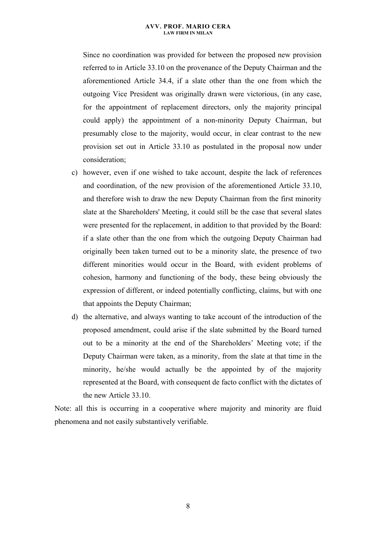Since no coordination was provided for between the proposed new provision referred to in Article 33.10 on the provenance of the Deputy Chairman and the aforementioned Article 34.4, if a slate other than the one from which the outgoing Vice President was originally drawn were victorious, (in any case, for the appointment of replacement directors, only the majority principal could apply) the appointment of a non-minority Deputy Chairman, but presumably close to the majority, would occur, in clear contrast to the new provision set out in Article 33.10 as postulated in the proposal now under consideration;

- c) however, even if one wished to take account, despite the lack of references and coordination, of the new provision of the aforementioned Article 33.10, and therefore wish to draw the new Deputy Chairman from the first minority slate at the Shareholders' Meeting, it could still be the case that several slates were presented for the replacement, in addition to that provided by the Board: if a slate other than the one from which the outgoing Deputy Chairman had originally been taken turned out to be a minority slate, the presence of two different minorities would occur in the Board, with evident problems of cohesion, harmony and functioning of the body, these being obviously the expression of different, or indeed potentially conflicting, claims, but with one that appoints the Deputy Chairman;
- d) the alternative, and always wanting to take account of the introduction of the proposed amendment, could arise if the slate submitted by the Board turned out to be a minority at the end of the Shareholders' Meeting vote; if the Deputy Chairman were taken, as a minority, from the slate at that time in the minority, he/she would actually be the appointed by of the majority represented at the Board, with consequent de facto conflict with the dictates of the new Article 33.10.

Note: all this is occurring in a cooperative where majority and minority are fluid phenomena and not easily substantively verifiable.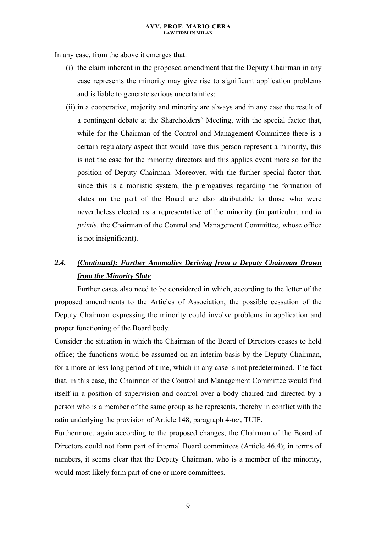In any case, from the above it emerges that:

- (i) the claim inherent in the proposed amendment that the Deputy Chairman in any case represents the minority may give rise to significant application problems and is liable to generate serious uncertainties;
- (ii) in a cooperative, majority and minority are always and in any case the result of a contingent debate at the Shareholders' Meeting, with the special factor that, while for the Chairman of the Control and Management Committee there is a certain regulatory aspect that would have this person represent a minority, this is not the case for the minority directors and this applies event more so for the position of Deputy Chairman. Moreover, with the further special factor that, since this is a monistic system, the prerogatives regarding the formation of slates on the part of the Board are also attributable to those who were nevertheless elected as a representative of the minority (in particular, and *in primis,* the Chairman of the Control and Management Committee, whose office is not insignificant).

# *2.4. (Continued): Further Anomalies Deriving from a Deputy Chairman Drawn from the Minority Slate*

Further cases also need to be considered in which, according to the letter of the proposed amendments to the Articles of Association, the possible cessation of the Deputy Chairman expressing the minority could involve problems in application and proper functioning of the Board body.

Consider the situation in which the Chairman of the Board of Directors ceases to hold office; the functions would be assumed on an interim basis by the Deputy Chairman, for a more or less long period of time, which in any case is not predetermined. The fact that, in this case, the Chairman of the Control and Management Committee would find itself in a position of supervision and control over a body chaired and directed by a person who is a member of the same group as he represents, thereby in conflict with the ratio underlying the provision of Article 148, paragraph 4*-ter,* TUIF.

Furthermore, again according to the proposed changes, the Chairman of the Board of Directors could not form part of internal Board committees (Article 46.4); in terms of numbers, it seems clear that the Deputy Chairman, who is a member of the minority, would most likely form part of one or more committees.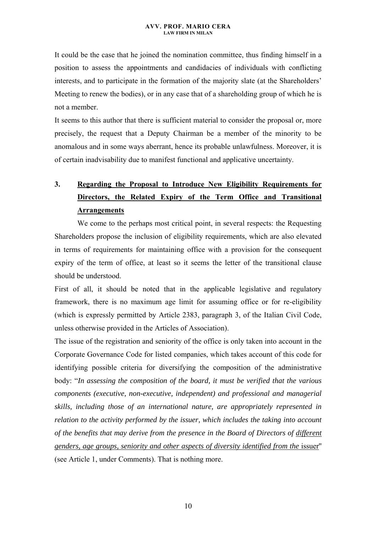It could be the case that he joined the nomination committee, thus finding himself in a position to assess the appointments and candidacies of individuals with conflicting interests, and to participate in the formation of the majority slate (at the Shareholders' Meeting to renew the bodies), or in any case that of a shareholding group of which he is not a member.

It seems to this author that there is sufficient material to consider the proposal or, more precisely, the request that a Deputy Chairman be a member of the minority to be anomalous and in some ways aberrant, hence its probable unlawfulness. Moreover, it is of certain inadvisability due to manifest functional and applicative uncertainty.

# **3. Regarding the Proposal to Introduce New Eligibility Requirements for Directors, the Related Expiry of the Term Office and Transitional Arrangements**

We come to the perhaps most critical point, in several respects: the Requesting Shareholders propose the inclusion of eligibility requirements, which are also elevated in terms of requirements for maintaining office with a provision for the consequent expiry of the term of office, at least so it seems the letter of the transitional clause should be understood.

First of all, it should be noted that in the applicable legislative and regulatory framework, there is no maximum age limit for assuming office or for re-eligibility (which is expressly permitted by Article 2383, paragraph 3, of the Italian Civil Code, unless otherwise provided in the Articles of Association).

The issue of the registration and seniority of the office is only taken into account in the Corporate Governance Code for listed companies, which takes account of this code for identifying possible criteria for diversifying the composition of the administrative body: "*In assessing the composition of the board, it must be verified that the various components (executive, non-executive, independent) and professional and managerial skills, including those of an international nature, are appropriately represented in relation to the activity performed by the issuer, which includes the taking into account of the benefits that may derive from the presence in the Board of Directors of different genders, age groups, seniority and other aspects of diversity identified from the* issuer'' (see Article 1, under Comments). That is nothing more.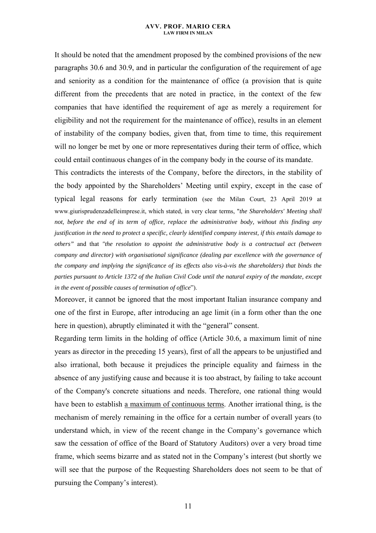It should be noted that the amendment proposed by the combined provisions of the new paragraphs 30.6 and 30.9, and in particular the configuration of the requirement of age and seniority as a condition for the maintenance of office (a provision that is quite different from the precedents that are noted in practice, in the context of the few companies that have identified the requirement of age as merely a requirement for eligibility and not the requirement for the maintenance of office), results in an element of instability of the company bodies, given that, from time to time, this requirement will no longer be met by one or more representatives during their term of office, which could entail continuous changes of in the company body in the course of its mandate.

This contradicts the interests of the Company, before the directors, in the stability of the body appointed by the Shareholders' Meeting until expiry, except in the case of typical legal reasons for early termination (see the Milan Court, 23 April 2019 at www.giurisprudenzadelleimprese.it, which stated, in very clear terms, "*the Shareholders' Meeting shall not, before the end of its term of office, replace the administrative body, without this finding any justification in the need to protect a specific, clearly identified company interest, if this entails damage to others"* and that *"the resolution to appoint the administrative body is a contractual act (between company and director) with organisational significance (dealing par excellence with the governance of the company and implying the significance of its effects also vis-à-vis the shareholders) that binds the parties pursuant to Article 1372 of the Italian Civil Code until the natural expiry of the mandate, except in the event of possible causes of termination of office*").

Moreover, it cannot be ignored that the most important Italian insurance company and one of the first in Europe, after introducing an age limit (in a form other than the one here in question), abruptly eliminated it with the "general" consent.

Regarding term limits in the holding of office (Article 30.6, a maximum limit of nine years as director in the preceding 15 years), first of all the appears to be unjustified and also irrational, both because it prejudices the principle equality and fairness in the absence of any justifying cause and because it is too abstract, by failing to take account of the Company's concrete situations and needs. Therefore, one rational thing would have been to establish a maximum of continuous terms. Another irrational thing, is the mechanism of merely remaining in the office for a certain number of overall years (to understand which, in view of the recent change in the Company's governance which saw the cessation of office of the Board of Statutory Auditors) over a very broad time frame, which seems bizarre and as stated not in the Company's interest (but shortly we will see that the purpose of the Requesting Shareholders does not seem to be that of pursuing the Company's interest).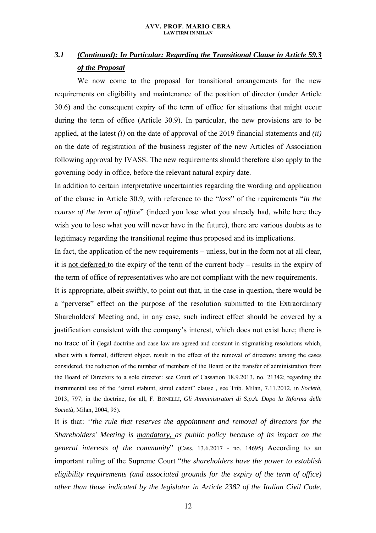# *3.1 (Continued): In Particular: Regarding the Transitional Clause in Article 59.3 of the Proposal*

We now come to the proposal for transitional arrangements for the new requirements on eligibility and maintenance of the position of director (under Article 30.6) and the consequent expiry of the term of office for situations that might occur during the term of office (Article 30.9). In particular, the new provisions are to be applied, at the latest *(i)* on the date of approval of the 2019 financial statements and *(ii)*  on the date of registration of the business register of the new Articles of Association following approval by IVASS. The new requirements should therefore also apply to the governing body in office, before the relevant natural expiry date.

In addition to certain interpretative uncertainties regarding the wording and application of the clause in Article 30.9, with reference to the "*loss*" of the requirements "*in the course of the term of office*" (indeed you lose what you already had, while here they wish you to lose what you will never have in the future), there are various doubts as to legitimacy regarding the transitional regime thus proposed and its implications.

In fact, the application of the new requirements – unless, but in the form not at all clear, it is not deferred to the expiry of the term of the current body – results in the expiry of the term of office of representatives who are not compliant with the new requirements.

It is appropriate, albeit swiftly, to point out that, in the case in question, there would be a "perverse" effect on the purpose of the resolution submitted to the Extraordinary Shareholders' Meeting and, in any case, such indirect effect should be covered by a justification consistent with the company's interest, which does not exist here; there is no trace of it (legal doctrine and case law are agreed and constant in stigmatising resolutions which, albeit with a formal, different object, result in the effect of the removal of directors: among the cases considered, the reduction of the number of members of the Board or the transfer of administration from the Board of Directors to a sole director: see Court of Cassation 18.9.2013, no. 21342; regarding the instrumental use of the "simul stabunt, simul cadent" clause *,* see Trib. Milan, 7.11.2012, in *Società,*  2013, 797; in the doctrine, for all, F. BONELLI**,** *Gli Amministratori di S.p.A. Dopo la Riforma delle Società,* Milan, 2004, 95).

It is that: *''the rule that reserves the appointment and removal of directors for the Shareholders' Meeting is mandatory, as public policy because of its impact on the general interests of the community*" (Cass. 13.6.2017 - no. 14695) According to an important ruling of the Supreme Court "*the shareholders have the power to establish eligibility requirements (and associated grounds for the expiry of the term of office) other than those indicated by the legislator in Article 2382 of the Italian Civil Code.*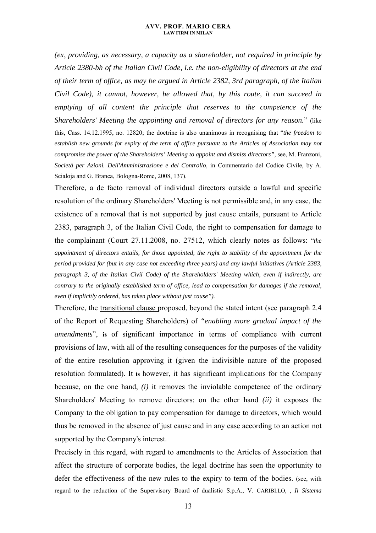*(ex*, *providing, as necessary, a capacity as a shareholder, not required in principle by Article 2380-bh of the Italian Civil Code, i.e. the non-eligibility of directors at the end of their term of office, as may be argued in Article 2382, 3rd paragraph, of the Italian Civil Code), it cannot, however, be allowed that, by this route, it can succeed in emptying of all content the principle that reserves to the competence of the Shareholders' Meeting the appointing and removal of directors for any reason.*" (like this, Cass. 14.12.1995, no. 12820; the doctrine is also unanimous in recognising that "*the freedom to establish new grounds for expiry of the term of office pursuant to the Articles of Association may not compromise the power of the Shareholders' Meeting to appoint and dismiss directors"*, see, M. Franzoni, *Società per Azioni. Dell'Amministrazione e del Controllo,* in Commentario del Codice Civile*,* by A. Scialoja and G. Branca, Bologna-Rome, 2008, 137).

Therefore, a de facto removal of individual directors outside a lawful and specific resolution of the ordinary Shareholders' Meeting is not permissible and, in any case, the existence of a removal that is not supported by just cause entails, pursuant to Article 2383, paragraph 3, of the Italian Civil Code, the right to compensation for damage to the complainant (Court 27.11.2008, no. 27512, which clearly notes as follows: "*the appointment of directors entails, for those appointed, the right to stability of the appointment for the period provided for (but in any case not exceeding three years) and any lawful initiatives (Article 2383, paragraph 3, of the Italian Civil Code) of the Shareholders' Meeting which, even if indirectly, are contrary to the originally established term of office, lead to compensation for damages if the removal, even if implicitly ordered, has taken place without just cause").* 

Therefore, the transitional clause proposed, beyond the stated intent (see paragraph 2.4 of the Report of Requesting Shareholders) of *"enabling more gradual impact of the amendments*", **is** of significant importance in terms of compliance with current provisions of law, with all of the resulting consequences for the purposes of the validity of the entire resolution approving it (given the indivisible nature of the proposed resolution formulated). It **is** however, it has significant implications for the Company because, on the one hand, *(i)* it removes the inviolable competence of the ordinary Shareholders' Meeting to remove directors; on the other hand *(ii)* it exposes the Company to the obligation to pay compensation for damage to directors, which would thus be removed in the absence of just cause and in any case according to an action not supported by the Company's interest.

Precisely in this regard, with regard to amendments to the Articles of Association that affect the structure of corporate bodies, the legal doctrine has seen the opportunity to defer the effectiveness of the new rules to the expiry to term of the bodies. (see, with regard to the reduction of the Supervisory Board of dualistic S.p.A., V. CARIBI.LO, *, Il Sistema*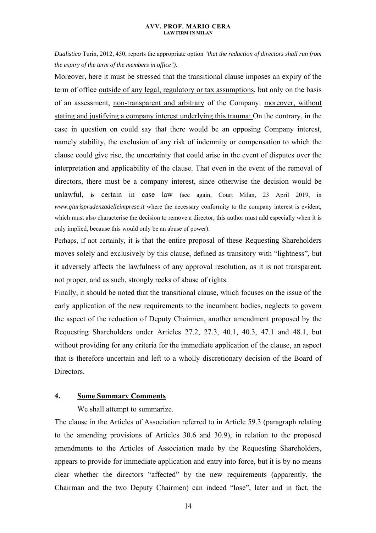*Dualistico* Turin, 2012, 450, reports the appropriate option *"that the reduction of directors shall run from the expiry of the term of the members in office").*

Moreover, here it must be stressed that the transitional clause imposes an expiry of the term of office outside of any legal, regulatory or tax assumptions, but only on the basis of an assessment, non-transparent and arbitrary of the Company: moreover, without stating and justifying a company interest underlying this trauma: On the contrary, in the case in question on could say that there would be an opposing Company interest, namely stability, the exclusion of any risk of indemnity or compensation to which the clause could give rise, the uncertainty that could arise in the event of disputes over the interpretation and applicability of the clause. That even in the event of the removal of directors, there must be a company interest, since otherwise the decision would be unlawful, **is** certain in case law (see again, Court Milan, 23 April 2019, in *www.giurisprudenzadelleimprese.it* where the necessary conformity to the company interest is evident, which must also characterise the decision to remove a director, this author must add especially when it is only implied, because this would only be an abuse of power).

Perhaps, if not certainly, it **is** that the entire proposal of these Requesting Shareholders moves solely and exclusively by this clause, defined as transitory with "lightness", but it adversely affects the lawfulness of any approval resolution, as it is not transparent, not proper, and as such, strongly reeks of abuse of rights.

Finally, it should be noted that the transitional clause, which focuses on the issue of the early application of the new requirements to the incumbent bodies, neglects to govern the aspect of the reduction of Deputy Chairmen, another amendment proposed by the Requesting Shareholders under Articles 27.2, 27.3, 40.1, 40.3, 47.1 and 48.1, but without providing for any criteria for the immediate application of the clause, an aspect that is therefore uncertain and left to a wholly discretionary decision of the Board of Directors.

## **4. Some Summary Comments**

We shall attempt to summarize.

The clause in the Articles of Association referred to in Article 59.3 (paragraph relating to the amending provisions of Articles 30.6 and 30.9), in relation to the proposed amendments to the Articles of Association made by the Requesting Shareholders, appears to provide for immediate application and entry into force, but it is by no means clear whether the directors "affected" by the new requirements (apparently, the Chairman and the two Deputy Chairmen) can indeed "lose", later and in fact, the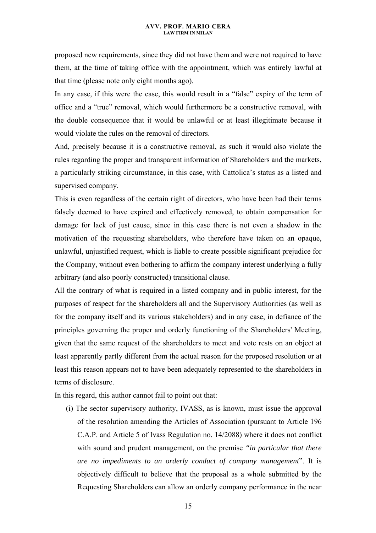proposed new requirements, since they did not have them and were not required to have them, at the time of taking office with the appointment, which was entirely lawful at that time (please note only eight months ago).

In any case, if this were the case, this would result in a "false" expiry of the term of office and a "true" removal, which would furthermore be a constructive removal, with the double consequence that it would be unlawful or at least illegitimate because it would violate the rules on the removal of directors.

And, precisely because it is a constructive removal, as such it would also violate the rules regarding the proper and transparent information of Shareholders and the markets, a particularly striking circumstance, in this case, with Cattolica's status as a listed and supervised company.

This is even regardless of the certain right of directors, who have been had their terms falsely deemed to have expired and effectively removed, to obtain compensation for damage for lack of just cause, since in this case there is not even a shadow in the motivation of the requesting shareholders, who therefore have taken on an opaque, unlawful, unjustified request, which is liable to create possible significant prejudice for the Company, without even bothering to affirm the company interest underlying a fully arbitrary (and also poorly constructed) transitional clause.

All the contrary of what is required in a listed company and in public interest, for the purposes of respect for the shareholders all and the Supervisory Authorities (as well as for the company itself and its various stakeholders) and in any case, in defiance of the principles governing the proper and orderly functioning of the Shareholders' Meeting, given that the same request of the shareholders to meet and vote rests on an object at least apparently partly different from the actual reason for the proposed resolution or at least this reason appears not to have been adequately represented to the shareholders in terms of disclosure.

In this regard, this author cannot fail to point out that:

(i) The sector supervisory authority, IVASS, as is known, must issue the approval of the resolution amending the Articles of Association (pursuant to Article 196 C.A.P. and Article 5 of Ivass Regulation no. 14/2088) where it does not conflict with sound and prudent management, on the premise *"in particular that there are no impediments to an orderly conduct of company management*". It is objectively difficult to believe that the proposal as a whole submitted by the Requesting Shareholders can allow an orderly company performance in the near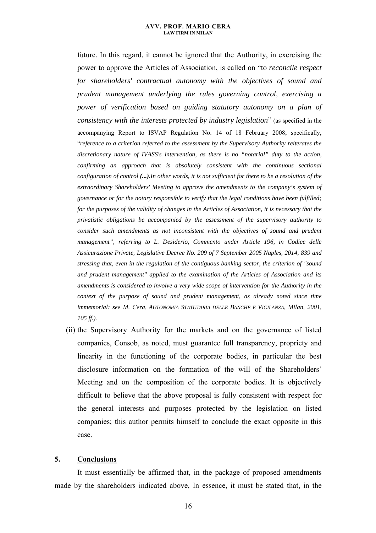future. In this regard, it cannot be ignored that the Authority, in exercising the power to approve the Articles of Association, is called on "to *reconcile respect for shareholders' contractual autonomy with the objectives of sound and prudent management underlying the rules governing control, exercising a power of verification based on guiding statutory autonomy on a plan of consistency with the interests protected by industry legislation*" (as specified in the accompanying Report to ISVAP Regulation No. 14 of 18 February 2008; specifically, "*reference to a criterion referred to the assessment by the Supervisory Authority reiterates the discretionary nature of IVASS's intervention, as there is no "notarial" duty to the action, confirming an approach that is absolutely consistent with the continuous sectional configuration of control (...).In other words, it is not sufficient for there to be a resolution of the extraordinary Shareholders' Meeting to approve the amendments to the company's system of governance or for the notary responsible to verify that the legal conditions have been fulfilled; for the purposes of the validity of changes in the Articles of Association, it is necessary that the privatistic obligations be accompanied by the assessment of the supervisory authority to consider such amendments as not inconsistent with the objectives of sound and prudent management", referring to L. Desiderio, Commento under Article 196, in Codice delle Assicurazione Private, Legislative Decree No. 209 of 7 September 2005 Naples, 2014, 839 and stressing that, even in the regulation of the contiguous banking sector, the criterion of "sound and prudent management" applied to the examination of the Articles of Association and its amendments is considered to involve a very wide scope of intervention for the Authority in the context of the purpose of sound and prudent management, as already noted since time immemorial: see M. Cera, AUTONOMIA STATUTARIA DELLE BANCHE E VIGILANZA, Milan, 2001, 105 ff.).* 

(ii) the Supervisory Authority for the markets and on the governance of listed companies, Consob, as noted, must guarantee full transparency, propriety and linearity in the functioning of the corporate bodies, in particular the best disclosure information on the formation of the will of the Shareholders' Meeting and on the composition of the corporate bodies. It is objectively difficult to believe that the above proposal is fully consistent with respect for the general interests and purposes protected by the legislation on listed companies; this author permits himself to conclude the exact opposite in this case.

### **5. Conclusions**

It must essentially be affirmed that, in the package of proposed amendments made by the shareholders indicated above, In essence, it must be stated that, in the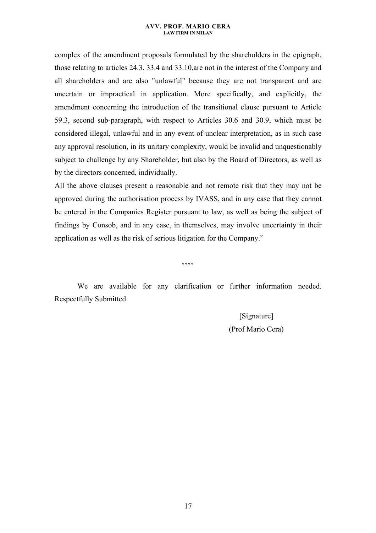complex of the amendment proposals formulated by the shareholders in the epigraph, those relating to articles 24.3, 33.4 and 33.10,are not in the interest of the Company and all shareholders and are also "unlawful" because they are not transparent and are uncertain or impractical in application. More specifically, and explicitly, the amendment concerning the introduction of the transitional clause pursuant to Article 59.3, second sub-paragraph, with respect to Articles 30.6 and 30.9, which must be considered illegal, unlawful and in any event of unclear interpretation, as in such case any approval resolution, in its unitary complexity, would be invalid and unquestionably subject to challenge by any Shareholder, but also by the Board of Directors, as well as by the directors concerned, individually.

All the above clauses present a reasonable and not remote risk that they may not be approved during the authorisation process by IVASS, and in any case that they cannot be entered in the Companies Register pursuant to law, as well as being the subject of findings by Consob, and in any case, in themselves, may involve uncertainty in their application as well as the risk of serious litigation for the Company."

\*\*\*\*

We are available for any clarification or further information needed. Respectfully Submitted

[Signature]

(Prof Mario Cera)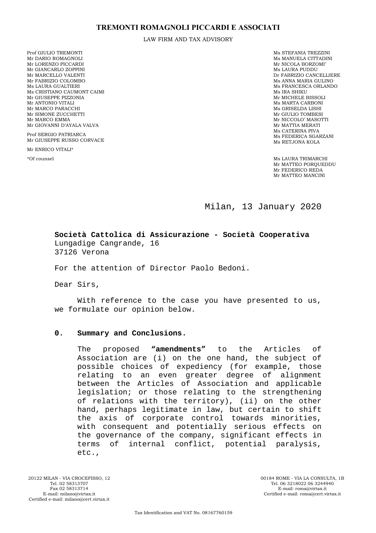LAW FIRM AND TAX ADVISORY

Prof GIULIO TREMONTI Mr DARIO ROMAGNOLI Mr LORENZO PICCARDI Mr GIANCARLO ZOPPINI Mr MARCELLO VALENTI Mr FABRIZIO COLOMBO Ms LAURA GUALTIERI Ms CRISTIANO CAUMONT CAIMI Mr GIUSEPPE PIZZONIA Mr ANTONIO VITALI Mr MARCO PARACCHI Mr SIMONE ZUCCHETTI Mr MARCO EMMA Mr GIOVANNI D'AYALA VALVA

Prof SERGIO PATRIARCA Mr GIUSEPPE RUSSO CORVACE

Mr ENRICO VITALI\*

Ms STEFANIA TREZZINI Ms MANUELA CITTADINI Mr NICOLA BORZOMI' Ms LAURA PUDDU Dr FABRIZIO CANCELLIERE Ms ANNA MARIA GULINO Ms FRANCESCA ORLANDO Ms IRA SHIKU Mr MICHELE BISSOLI Ms MARTA CARBONI Ms GRISELDA LISHI Mr GIULIO TOMBESI Mr NICCOLO' MASOTTI Mr MATTIA MERATI Ms CATERINA PIVA Ms FEDERICA SGARZANI Ms RETJONA KOLA

\*Of counsel Ms LAURA TRIMARCHI Mr MATTEO POROUEDDU Mr FEDERICO REDA Mr MATTEO MANCINI

Milan, 13 January 2020

**Società Cattolica di Assicurazione - Società Cooperativa**  Lungadige Cangrande, 16 37126 Verona

For the attention of Director Paolo Bedoni.

Dear Sirs,

With reference to the case you have presented to us, we formulate our opinion below.

### **0. Summary and Conclusions.**

The proposed **"amendments"** to the Articles of Association are (i) on the one hand, the subject of possible choices of expediency (for example, those relating to an even greater degree of alignment between the Articles of Association and applicable legislation; or those relating to the strengthening of relations with the territory), (ii) on the other hand, perhaps legitimate in law, but certain to shift the axis of corporate control towards minorities, with consequent and potentially serious effects on the governance of the company, significant effects in terms of internal conflict, potential paralysis, etc.,

00184 ROME - VIA LA CONSULTA, 1B Tel. 06 3218022 06 3244940 E-mail: roma@virtax.it Certified e-mail: roma@cert.virtax.it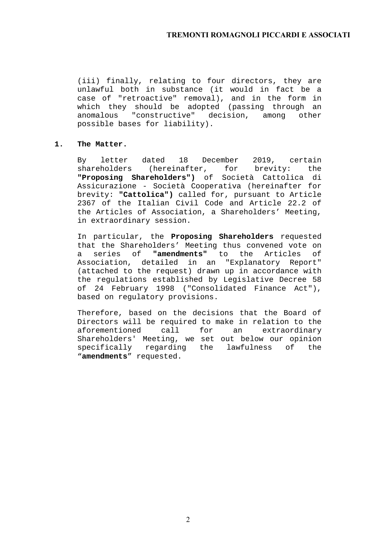(iii) finally, relating to four directors, they are unlawful both in substance (it would in fact be a case of "retroactive" removal), and in the form in which they should be adopted (passing through an anomalous "constructive" decision, among other possible bases for liability).

### **1. The Matter.**

By letter dated 18 December 2019, certain shareholders (hereinafter, for brevity: the **"Proposing Shareholders")** of Società Cattolica di Assicurazione - Società Cooperativa (hereinafter for brevity: **"Cattolica")** called for, pursuant to Article 2367 of the Italian Civil Code and Article 22.2 of the Articles of Association, a Shareholders' Meeting, in extraordinary session.

In particular, the **Proposing Shareholders** requested that the Shareholders' Meeting thus convened vote on a series of **"amendments"** to the Articles of Association, detailed in an "Explanatory Report" (attached to the request) drawn up in accordance with the regulations established by Legislative Decree 58 of 24 February 1998 ("Consolidated Finance Act"), based on regulatory provisions.

Therefore, based on the decisions that the Board of Directors will be required to make in relation to the aforementioned call for an extraordinary Shareholders' Meeting, we set out below our opinion specifically regarding the lawfulness of the "**amendments**" requested.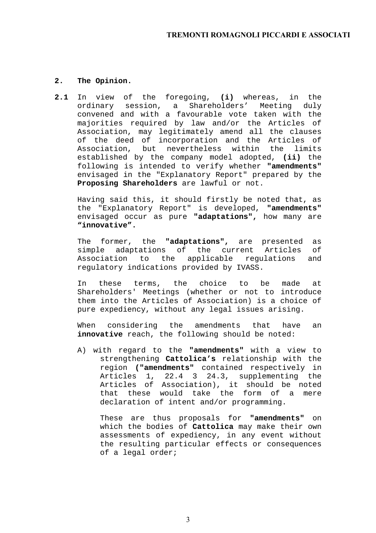### **2. The Opinion.**

**2.1** In view of the foregoing, **(i)** whereas, in the ordinary session, a Shareholders' Meeting duly convened and with a favourable vote taken with the majorities required by law and/or the Articles of Association, may legitimately amend all the clauses of the deed of incorporation and the Articles of Association, but nevertheless within the limits established by the company model adopted, **(ii)** the following is intended to verify whether **"amendments"**  envisaged in the "Explanatory Report" prepared by the **Proposing Shareholders** are lawful or not.

Having said this, it should firstly be noted that, as the "Explanatory Report" is developed, **"amendments"**  envisaged occur as pure **"adaptations",** how many are **"innovative".**

The former, the **"adaptations",** are presented as simple adaptations of the current Articles of Association to the applicable regulations and regulatory indications provided by IVASS.

In these terms, the choice to be made at Shareholders' Meetings (whether or not to introduce them into the Articles of Association) is a choice of pure expediency, without any legal issues arising.

When considering the amendments that have an **innovative** reach, the following should be noted:

A) with regard to the **"amendments"** with a view to strengthening **Cattolica's** relationship with the region **("amendments"** contained respectively in Articles 1, 22.4 3 24.3, supplementing the Articles of Association), it should be noted that these would take the form of a mere declaration of intent and/or programming.

These are thus proposals for **"amendments"** on which the bodies of **Cattolica** may make their own assessments of expediency, in any event without the resulting particular effects or consequences of a legal order;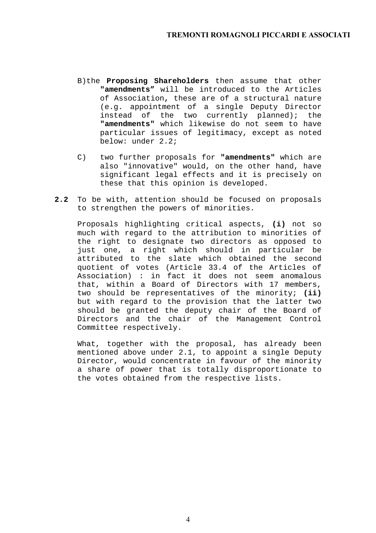- B)the **Proposing Shareholders** then assume that other **"amendments"** will be introduced to the Articles of Association**,** these are of a structural nature (e.g. appointment of a single Deputy Director instead of the two currently planned); the **"amendments"** which likewise do not seem to have particular issues of legitimacy, except as noted below: under 2.2;
- C) two further proposals for **"amendments"** which are also "innovative" would, on the other hand, have significant legal effects and it is precisely on these that this opinion is developed.
- **2.2** To be with, attention should be focused on proposals to strengthen the powers of minorities.

Proposals highlighting critical aspects, **(i)** not so much with regard to the attribution to minorities of the right to designate two directors as opposed to just one, a right which should in particular be attributed to the slate which obtained the second quotient of votes (Article 33.4 of the Articles of Association) : in fact it does not seem anomalous that, within a Board of Directors with 17 members, two should be representatives of the minority; **(ii)**  but with regard to the provision that the latter two should be granted the deputy chair of the Board of Directors and the chair of the Management Control Committee respectively.

What, together with the proposal, has already been mentioned above under 2.1, to appoint a single Deputy Director, would concentrate in favour of the minority a share of power that is totally disproportionate to the votes obtained from the respective lists.

4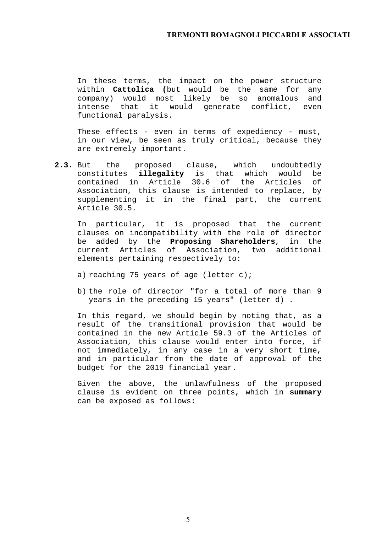In these terms, the impact on the power structure within **Cattolica (**but would be the same for any company) would most likely be so anomalous and intense that it would generate conflict, even functional paralysis.

These effects - even in terms of expediency - must, in our view, be seen as truly critical, because they are extremely important.

**2.3.** But the proposed clause, which undoubtedly constitutes **illegality** is that which would be contained in Article 30.6 of the Articles of Association, this clause is intended to replace, by supplementing it in the final part, the current Article 30.5.

In particular, it is proposed that the current clauses on incompatibility with the role of director be added by the **Proposing Shareholders**, in the current Articles of Association, two additional elements pertaining respectively to:

- a) reaching 75 years of age (letter c);
- b) the role of director "for a total of more than 9 years in the preceding 15 years" (letter d) .

In this regard, we should begin by noting that, as a result of the transitional provision that would be contained in the new Article 59.3 of the Articles of Association, this clause would enter into force, if not immediately, in any case in a very short time, and in particular from the date of approval of the budget for the 2019 financial year.

Given the above, the unlawfulness of the proposed clause is evident on three points, which in **summary**  can be exposed as follows: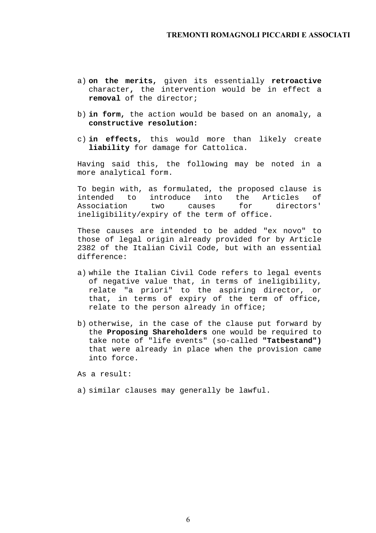- a) **on the merits,** given its essentially **retroactive** character**,** the intervention would be in effect a **removal** of the director;
- b) **in form,** the action would be based on an anomaly, a **constructive resolution:**
- c) **in effects,** this would more than likely create **liability** for damage for Cattolica.

Having said this, the following may be noted in a more analytical form.

To begin with, as formulated, the proposed clause is intended to introduce into the Articles of Association two causes for directors' ineligibility/expiry of the term of office.

These causes are intended to be added "ex novo" to those of legal origin already provided for by Article 2382 of the Italian Civil Code, but with an essential difference:

- a) while the Italian Civil Code refers to legal events of negative value that, in terms of ineligibility, relate "a priori" to the aspiring director, or that, in terms of expiry of the term of office, relate to the person already in office;
- b) otherwise, in the case of the clause put forward by the **Proposing Shareholders** one would be required to take note of "life events" (so-called **"Tatbestand")**  that were already in place when the provision came into force.

As a result:

a) similar clauses may generally be lawful.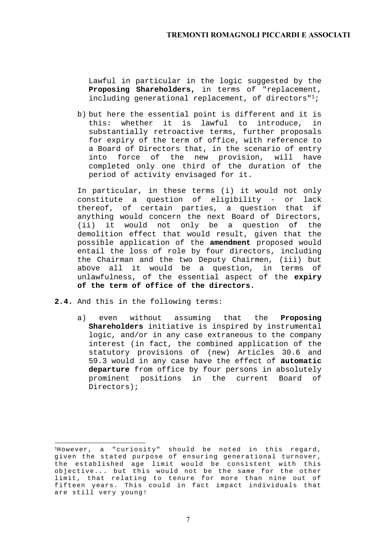Lawful in particular in the logic suggested by the **Proposing Shareholders,** in terms of "replacement, including generational replacement, of directors"<sup>1</sup>;

b) but here the essential point is different and it is this: whether it is lawful to introduce, in substantially retroactive terms, further proposals for expiry of the term of office, with reference to a Board of Directors that, in the scenario of entry into force of the new provision, will have completed only one third of the duration of the period of activity envisaged for it.

In particular, in these terms (i) it would not only constitute a question of eligibility - or lack thereof, of certain parties, a question that if anything would concern the next Board of Directors, (ii) it would not only be a question of the demolition effect that would result, given that the possible application of the **amendment** proposed would entail the loss of role by four directors, including the Chairman and the two Deputy Chairmen, (iii) but above all it would be a question, in terms of unlawfulness, of the essential aspect of the **expiry of the term of office of the directors.**

**2.4.** And this in the following terms:

 $\overline{a}$ 

a) even without assuming that the **Proposing Shareholders** initiative is inspired by instrumental logic, and/or in any case extraneous to the company interest (in fact, the combined application of the statutory provisions of (new) Articles 30.6 and 59.3 would in any case have the effect of **automatic departure** from office by four persons in absolutely prominent positions in the current Board of Directors);

 $1$ However, a "curiosity" should be noted in this regard, given the stated purpose of ensuring generational turnover, the established age limit would be consistent with this objective... but this would not be the same for the other limit, that relating to tenure for more than nine out of fifteen years. This could in fact impact individuals that are still very young!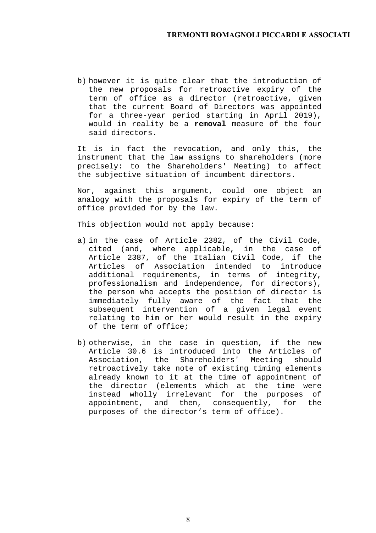b) however it is quite clear that the introduction of the new proposals for retroactive expiry of the term of office as a director (retroactive, given that the current Board of Directors was appointed for a three-year period starting in April 2019), would in reality be a **removal** measure of the four said directors.

It is in fact the revocation, and only this, the instrument that the law assigns to shareholders (more precisely: to the Shareholders' Meeting) to affect the subjective situation of incumbent directors.

Nor, against this argument, could one object an analogy with the proposals for expiry of the term of office provided for by the law.

This objection would not apply because:

- a) in the case of Article 2382, of the Civil Code, cited (and, where applicable, in the case of Article 2387, of the Italian Civil Code, if the Articles of Association intended to introduce additional requirements, in terms of integrity, professionalism and independence, for directors), the person who accepts the position of director is immediately fully aware of the fact that the subsequent intervention of a given legal event relating to him or her would result in the expiry of the term of office;
- b) otherwise, in the case in question, if the new Article 30.6 is introduced into the Articles of Association, the Shareholders' Meeting should retroactively take note of existing timing elements already known to it at the time of appointment of the director (elements which at the time were instead wholly irrelevant for the purposes of appointment, and then, consequently, for the purposes of the director's term of office).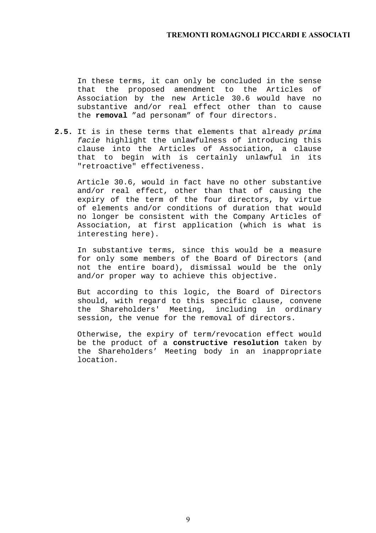In these terms, it can only be concluded in the sense that the proposed amendment to the Articles of Association by the new Article 30.6 would have no substantive and/or real effect other than to cause the **removal** "ad personam" of four directors.

**2.5.** It is in these terms that elements that already *prima facie* highlight the unlawfulness of introducing this clause into the Articles of Association, a clause that to begin with is certainly unlawful in its "retroactive" effectiveness.

Article 30.6, would in fact have no other substantive and/or real effect, other than that of causing the expiry of the term of the four directors, by virtue of elements and/or conditions of duration that would no longer be consistent with the Company Articles of Association, at first application (which is what is interesting here).

In substantive terms, since this would be a measure for only some members of the Board of Directors (and not the entire board), dismissal would be the only and/or proper way to achieve this objective.

But according to this logic, the Board of Directors should, with regard to this specific clause, convene the Shareholders' Meeting, including in ordinary session, the venue for the removal of directors.

Otherwise, the expiry of term/revocation effect would be the product of a **constructive resolution** taken by the Shareholders' Meeting body in an inappropriate location.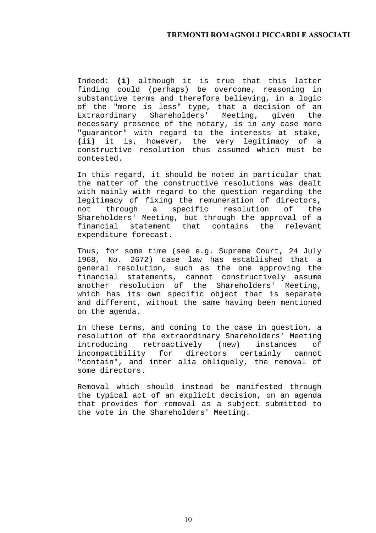Indeed: **(i)** although it is true that this latter finding could (perhaps) be overcome, reasoning in substantive terms and therefore believing, in a logic of the "more is less" type, that a decision of an Extraordinary Shareholders' Meeting, given the necessary presence of the notary, is in any case more "guarantor" with regard to the interests at stake, **(ii)** it is, however, the very legitimacy of a constructive resolution thus assumed which must be contested.

In this regard, it should be noted in particular that the matter of the constructive resolutions was dealt with mainly with regard to the question regarding the legitimacy of fixing the remuneration of directors, not through a specific resolution of the Shareholders' Meeting, but through the approval of a financial statement that contains the relevant expenditure forecast.

Thus, for some time (see e.g. Supreme Court, 24 July 1968, No. 2672) case law has established that a general resolution, such as the one approving the financial statements, cannot constructively assume another resolution of the Shareholders' Meeting, which has its own specific object that is separate and different, without the same having been mentioned on the agenda.

In these terms, and coming to the case in question, a resolution of the extraordinary Shareholders' Meeting introducing retroactively (new) instances of incompatibility for directors certainly cannot "contain", and inter alia obliquely, the removal of some directors.

Removal which should instead be manifested through the typical act of an explicit decision, on an agenda that provides for removal as a subject submitted to the vote in the Shareholders' Meeting.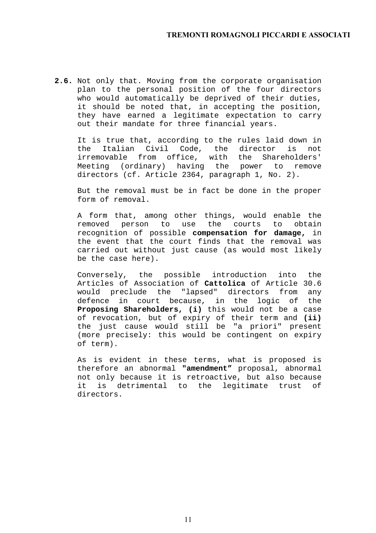**2.6.** Not only that. Moving from the corporate organisation plan to the personal position of the four directors who would automatically be deprived of their duties, it should be noted that, in accepting the position, they have earned a legitimate expectation to carry out their mandate for three financial years.

It is true that, according to the rules laid down in the Italian Civil Code, the director is not irremovable from office, with the Shareholders' Meeting (ordinary) having the power to remove directors (cf. Article 2364, paragraph 1, No. 2).

But the removal must be in fact be done in the proper form of removal.

A form that, among other things, would enable the removed person to use the courts to obtain recognition of possible **compensation for damage,** in the event that the court finds that the removal was carried out without just cause (as would most likely be the case here).

Conversely, the possible introduction into the Articles of Association of **Cattolica** of Article 30.6 would preclude the "lapsed" directors from any defence in court because, in the logic of the **Proposing Shareholders, (i)** this would not be a case of revocation, but of expiry of their term and **(ii)**  the just cause would still be "a priori" present (more precisely: this would be contingent on expiry of term).

As is evident in these terms, what is proposed is therefore an abnormal **"amendment"** proposal, abnormal not only because it is retroactive, but also because it is detrimental to the legitimate trust of directors.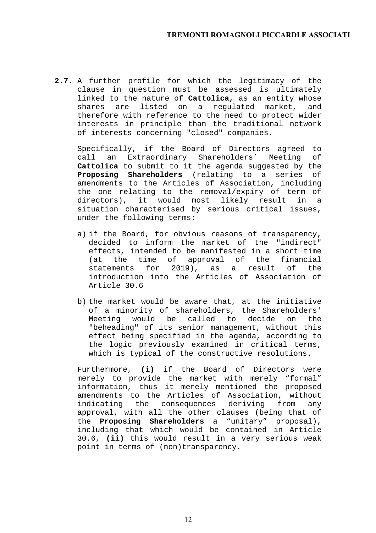**2.7.** A further profile for which the legitimacy of the clause in question must be assessed is ultimately linked to the nature of **Cattolica,** as an entity whose shares are listed on a regulated market, and therefore with reference to the need to protect wider interests in principle than the traditional network of interests concerning "closed" companies.

Specifically, if the Board of Directors agreed to call an Extraordinary Shareholders' Meeting of **Cattolica** to submit to it the agenda suggested by the **Proposing Shareholders** (relating to a series of amendments to the Articles of Association, including the one relating to the removal/expiry of term of directors), it would most likely result in a situation characterised by serious critical issues, under the following terms:

- a) if the Board, for obvious reasons of transparency, decided to inform the market of the "indirect" effects, intended to be manifested in a short time (at the time of approval of the financial statements for 2019), as a result of the introduction into the Articles of Association of Article 30.6
- b) the market would be aware that, at the initiative of a minority of shareholders, the Shareholders' Meeting would be called to decide on the "beheading" of its senior management, without this effect being specified in the agenda, according to the logic previously examined in critical terms, which is typical of the constructive resolutions.

Furthermore, **(i)** if the Board of Directors were merely to provide the market with merely "formal" information, thus it merely mentioned the proposed amendments to the Articles of Association, without indicating the consequences deriving from any approval, with all the other clauses (being that of the **Proposing Shareholders** a "unitary" proposal), including that which would be contained in Article 30.6, **(ii)** this would result in a very serious weak point in terms of (non)transparency.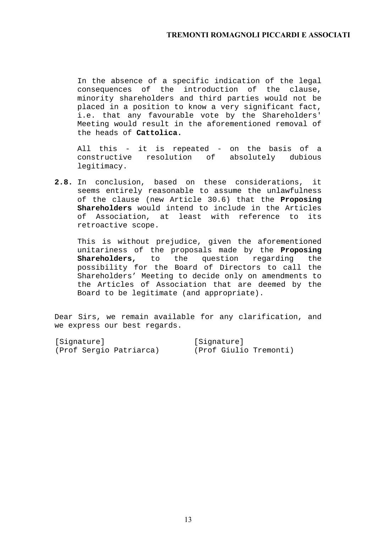In the absence of a specific indication of the legal consequences of the introduction of the clause, minority shareholders and third parties would not be placed in a position to know a very significant fact, i.e. that any favourable vote by the Shareholders' Meeting would result in the aforementioned removal of the heads of **Cattolica.**

All this - it is repeated - on the basis of a constructive resolution of absolutely dubious legitimacy.

**2.8.** In conclusion, based on these considerations, it seems entirely reasonable to assume the unlawfulness of the clause (new Article 30.6) that the **Proposing Shareholders** would intend to include in the Articles of Association, at least with reference to its retroactive scope.

This is without prejudice, given the aforementioned unitariness of the proposals made by the **Proposing Shareholders,** to the question regarding the possibility for the Board of Directors to call the Shareholders' Meeting to decide only on amendments to the Articles of Association that are deemed by the Board to be legitimate (and appropriate).

Dear Sirs, we remain available for any clarification, and we express our best regards.

| [Signature]             |  | [Signature] |  |                        |
|-------------------------|--|-------------|--|------------------------|
| (Prof Sergio Patriarca) |  |             |  | (Prof Giulio Tremonti) |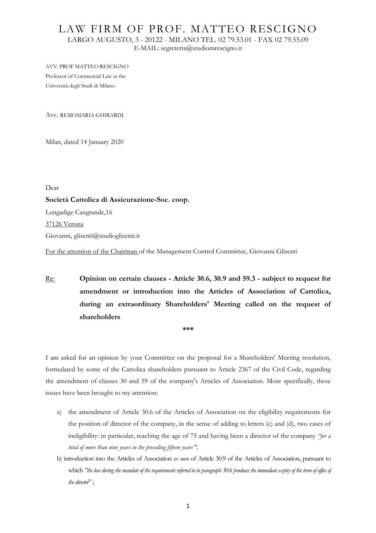## LAW FIRM OF PROF. MATTEO RESCIGNO LARGO AUGUSTO, 3 - 20122 - MILANO TEL. 02 79.53.01 - FAX 02 79.55.09 E-MAIL: segreteria@studiomrescigno.it

AVV. PROF MATTEO RESCIGNO Professor of Commercial Law at the Università degli Studi di Milano

Avv. REMOMARIA GHIRARDI

Milan, dated 14 January 2020

Dear

### **Società Cattolica di Assicurazione-Soc. coop.**

Lungadige Cangrande,16

37126 Verona

Giovanni, glisenti@studioglisenti.it

For the attention of the Chairman of the Management Control Committee, Giovanni Glisenti

Re: **Opinion on certain clauses - Article 30.6, 30.9 and 59.3 - subject to request for amendment or introduction into the Articles of Association of Cattolica, during an extraordinary Shareholders' Meeting called on the request of shareholders** 

**\*\*\*** 

I am asked for an opinion by your Committee on the proposal for a Shareholders' Meeting resolution, formulated by some of the Cattolica shareholders pursuant to Article 2367 of the Civil Code, regarding the amendment of clauses 30 and 59 of the company's Articles of Association. More specifically, these issues have been brought to my attention:

- a) the amendment of Article 30.6 of the Articles of Association on the eligibility requirements for the position of director of the company, in the sense of adding to letters (c) and (d), two cases of ineligibility: in particular, reaching the age of 75 and having been a director of the company *"for a total of more than nine years in the preceding fifteen years"',*
- b) introduction into the Articles of Association *ex novo* of Article 30.9 of the Articles of Association, pursuant to which *"the loss during the mandate of the requirements referred to in paragraph 30.6 produces the immediate expiry of the term of office of the director*" ;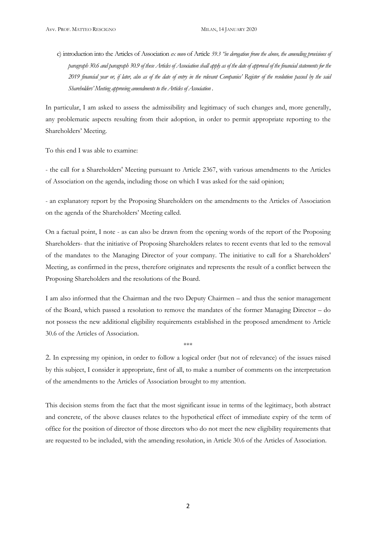c) introduction into the Articles of Association *ex novo* of Article *59.3 "in derogation from the above, the amending provisions of paragraph 30.6 and paragraph 30.9 of these Articles of Association shall apply as of the date of approval of the financial statements for the 2019 financial year or, if later, also as of the date of entry in the relevant Companies' Register of the resolution passed by the said Shareholders' Meeting approving amendments to the Articles of Association* .

In particular, I am asked to assess the admissibility and legitimacy of such changes and, more generally, any problematic aspects resulting from their adoption, in order to permit appropriate reporting to the Shareholders' Meeting.

To this end I was able to examine:

- the call for a Shareholders' Meeting pursuant to Article 2367, with various amendments to the Articles of Association on the agenda, including those on which I was asked for the said opinion;

- an explanatory report by the Proposing Shareholders on the amendments to the Articles of Association on the agenda of the Shareholders' Meeting called.

On a factual point, I note - as can also be drawn from the opening words of the report of the Proposing Shareholders- that the initiative of Proposing Shareholders relates to recent events that led to the removal of the mandates to the Managing Director of your company. The initiative to call for a Shareholders' Meeting, as confirmed in the press, therefore originates and represents the result of a conflict between the Proposing Shareholders and the resolutions of the Board.

I am also informed that the Chairman and the two Deputy Chairmen – and thus the senior management of the Board, which passed a resolution to remove the mandates of the former Managing Director – do not possess the new additional eligibility requirements established in the proposed amendment to Article 30.6 of the Articles of Association.

2. In expressing my opinion, in order to follow a logical order (but not of relevance) of the issues raised by this subject, I consider it appropriate, first of all, to make a number of comments on the interpretation of the amendments to the Articles of Association brought to my attention.

\*\*\*

This decision stems from the fact that the most significant issue in terms of the legitimacy, both abstract and concrete, of the above clauses relates to the hypothetical effect of immediate expiry of the term of office for the position of director of those directors who do not meet the new eligibility requirements that are requested to be included, with the amending resolution, in Article 30.6 of the Articles of Association.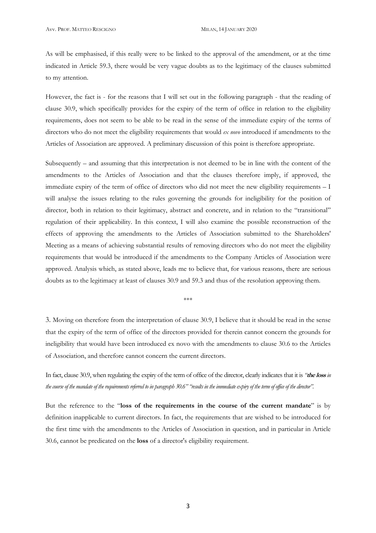As will be emphasised, if this really were to be linked to the approval of the amendment, or at the time indicated in Article 59.3, there would be very vague doubts as to the legitimacy of the clauses submitted to my attention.

However, the fact is - for the reasons that I will set out in the following paragraph - that the reading of clause 30.9, which specifically provides for the expiry of the term of office in relation to the eligibility requirements, does not seem to be able to be read in the sense of the immediate expiry of the terms of directors who do not meet the eligibility requirements that would *ex novo* introduced if amendments to the Articles of Association are approved. A preliminary discussion of this point is therefore appropriate.

Subsequently – and assuming that this interpretation is not deemed to be in line with the content of the amendments to the Articles of Association and that the clauses therefore imply, if approved, the immediate expiry of the term of office of directors who did not meet the new eligibility requirements – I will analyse the issues relating to the rules governing the grounds for ineligibility for the position of director, both in relation to their legitimacy, abstract and concrete, and in relation to the "transitional" regulation of their applicability. In this context, I will also examine the possible reconstruction of the effects of approving the amendments to the Articles of Association submitted to the Shareholders' Meeting as a means of achieving substantial results of removing directors who do not meet the eligibility requirements that would be introduced if the amendments to the Company Articles of Association were approved. Analysis which, as stated above, leads me to believe that, for various reasons, there are serious doubts as to the legitimacy at least of clauses 30.9 and 59.3 and thus of the resolution approving them.

\*\*\*

3. Moving on therefore from the interpretation of clause 30.9, I believe that it should be read in the sense that the expiry of the term of office of the directors provided for therein cannot concern the grounds for ineligibility that would have been introduced ex novo with the amendments to clause 30.6 to the Articles of Association, and therefore cannot concern the current directors.

In fact, clause 30.9, when regulating the expiry of the term of office of the director, clearly indicates that it is *"***the loss** *in the course of the mandate of the requirements referred to in paragraph 30.6" "results in the immediate expiry of the term of office of the director".* 

But the reference to the "**loss of the requirements in the course of the current mandate**" is by definition inapplicable to current directors. In fact, the requirements that are wished to be introduced for the first time with the amendments to the Articles of Association in question, and in particular in Article 30.6, cannot be predicated on the **loss** of a director's eligibility requirement.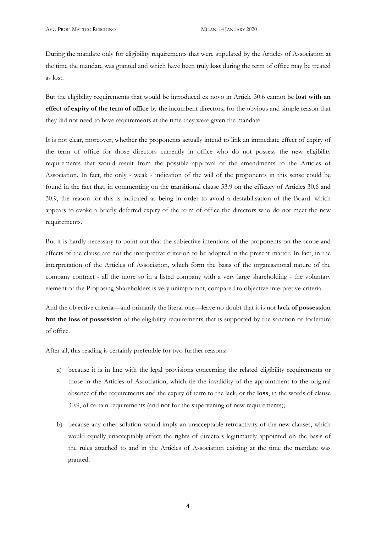During the mandate only for eligibility requirements that were stipulated by the Articles of Association at the time the mandate was granted and which have been truly **lost** during the term of office may be treated as lost.

But the eligibility requirements that would be introduced ex novo in Article 30.6 cannot be **lost with an effect of expiry of the term of office** by the incumbent directors, for the obvious and simple reason that they did not need to have requirements at the time they were given the mandate.

It is not clear, moreover, whether the proponents actually intend to link an immediate effect of expiry of the term of office for those directors currently in office who do not possess the new eligibility requirements that would result from the possible approval of the amendments to the Articles of Association. In fact, the only - weak - indication of the will of the proponents in this sense could be found in the fact that, in commenting on the transitional clause 53.9 on the efficacy of Articles 30.6 and 30.9, the reason for this is indicated as being in order to avoid a destabilisation of the Board: which appears to evoke a briefly deferred expiry of the term of office the directors who do not meet the new requirements.

But it is hardly necessary to point out that the subjective intentions of the proponents on the scope and effects of the clause are not the interpretive criterion to be adopted in the present matter. In fact, in the interpretation of the Articles of Association, which form the basis of the organisational nature of the company contract - all the more so in a listed company with a very large shareholding - the voluntary element of the Proposing Shareholders is very unimportant, compared to objective interpretive criteria.

And the objective criteria—and primarily the literal one—leave no doubt that it is not **lack of possession but the loss of possession** of the eligibility requirements that is supported by the sanction of forfeiture of office.

After all, this reading is certainly preferable for two further reasons:

- a) because it is in line with the legal provisions concerning the related eligibility requirements or those in the Articles of Association, which tie the invalidity of the appointment to the original absence of the requirements and the expiry of term to the lack, or the **loss**, in the words of clause 30.9, of certain requirements (and not for the supervening of new requirements);
- b) because any other solution would imply an unacceptable retroactivity of the new clauses, which would equally unacceptably affect the rights of directors legitimately appointed on the basis of the rules attached to and in the Articles of Association existing at the time the mandate was granted.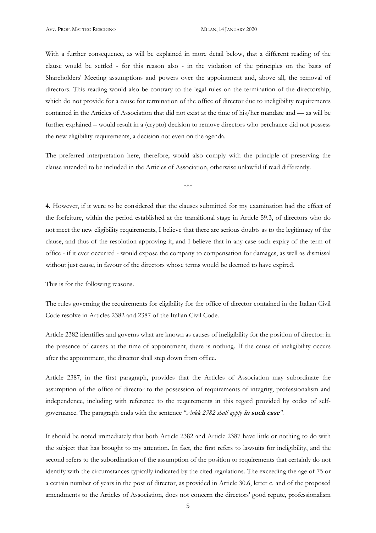With a further consequence, as will be explained in more detail below, that a different reading of the clause would be settled - for this reason also - in the violation of the principles on the basis of Shareholders' Meeting assumptions and powers over the appointment and, above all, the removal of directors. This reading would also be contrary to the legal rules on the termination of the directorship, which do not provide for a cause for termination of the office of director due to ineligibility requirements contained in the Articles of Association that did not exist at the time of his/her mandate and — as will be further explained – would result in a (crypto) decision to remove directors who perchance did not possess the new eligibility requirements, a decision not even on the agenda.

The preferred interpretation here, therefore, would also comply with the principle of preserving the clause intended to be included in the Articles of Association, otherwise unlawful if read differently.

\*\*\*

**4.** However, if it were to be considered that the clauses submitted for my examination had the effect of the forfeiture, within the period established at the transitional stage in Article 59.3, of directors who do not meet the new eligibility requirements, I believe that there are serious doubts as to the legitimacy of the clause, and thus of the resolution approving it, and I believe that in any case such expiry of the term of office - if it ever occurred - would expose the company to compensation for damages, as well as dismissal without just cause, in favour of the directors whose terms would be deemed to have expired.

This is for the following reasons.

The rules governing the requirements for eligibility for the office of director contained in the Italian Civil Code resolve in Articles 2382 and 2387 of the Italian Civil Code.

Article 2382 identifies and governs what are known as causes of ineligibility for the position of director: in the presence of causes at the time of appointment, there is nothing. If the cause of ineligibility occurs after the appointment, the director shall step down from office.

Article 2387, in the first paragraph, provides that the Articles of Association may subordinate the assumption of the office of director to the possession of requirements of integrity, professionalism and independence, including with reference to the requirements in this regard provided by codes of selfgovernance. The paragraph ends with the sentence "*Article 2382 shall apply* **in such case***"*.

It should be noted immediately that both Article 2382 and Article 2387 have little or nothing to do with the subject that has brought to my attention. In fact, the first refers to lawsuits for ineligibility, and the second refers to the subordination of the assumption of the position to requirements that certainly do not identify with the circumstances typically indicated by the cited regulations. The exceeding the age of 75 or a certain number of years in the post of director, as provided in Article 30.6, letter c. and of the proposed amendments to the Articles of Association, does not concern the directors' good repute, professionalism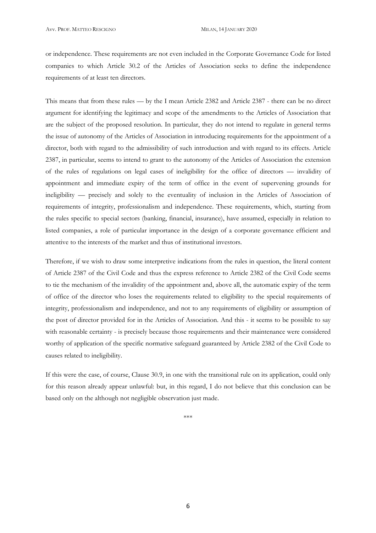or independence. These requirements are not even included in the Corporate Governance Code for listed companies to which Article 30.2 of the Articles of Association seeks to define the independence requirements of at least ten directors.

This means that from these rules — by the I mean Article 2382 and Article 2387 - there can be no direct argument for identifying the legitimacy and scope of the amendments to the Articles of Association that are the subject of the proposed resolution. In particular, they do not intend to regulate in general terms the issue of autonomy of the Articles of Association in introducing requirements for the appointment of a director, both with regard to the admissibility of such introduction and with regard to its effects. Article 2387, in particular, seems to intend to grant to the autonomy of the Articles of Association the extension of the rules of regulations on legal cases of ineligibility for the office of directors — invalidity of appointment and immediate expiry of the term of office in the event of supervening grounds for ineligibility — precisely and solely to the eventuality of inclusion in the Articles of Association of requirements of integrity, professionalism and independence. These requirements, which, starting from the rules specific to special sectors (banking, financial, insurance), have assumed, especially in relation to listed companies, a role of particular importance in the design of a corporate governance efficient and attentive to the interests of the market and thus of institutional investors.

Therefore, if we wish to draw some interpretive indications from the rules in question, the literal content of Article 2387 of the Civil Code and thus the express reference to Article 2382 of the Civil Code seems to tie the mechanism of the invalidity of the appointment and, above all, the automatic expiry of the term of office of the director who loses the requirements related to eligibility to the special requirements of integrity, professionalism and independence, and not to any requirements of eligibility or assumption of the post of director provided for in the Articles of Association. And this - it seems to be possible to say with reasonable certainty - is precisely because those requirements and their maintenance were considered worthy of application of the specific normative safeguard guaranteed by Article 2382 of the Civil Code to causes related to ineligibility.

If this were the case, of course, Clause 30.9, in one with the transitional rule on its application, could only for this reason already appear unlawful: but, in this regard, I do not believe that this conclusion can be based only on the although not negligible observation just made.

\*\*\*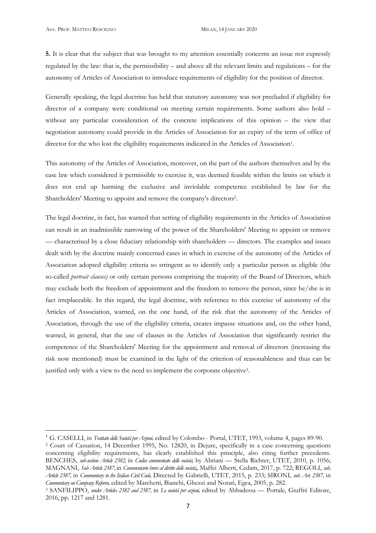$\overline{a}$ 

**5.** It is clear that the subject that was brought to my attention essentially concerns an issue not expressly regulated by the law: that is, the permissibility – and above all the relevant limits and regulations – for the autonomy of Articles of Association to introduce requirements of eligibility for the position of director.

Generally speaking, the legal doctrine has held that statutory autonomy was not precluded if eligibility for director of a company were conditional on meeting certain requirements. Some authors also hold – without any particular consideration of the concrete implications of this opinion – the view that negotiation autonomy could provide in the Articles of Association for an expiry of the term of office of director for the who lost the eligibility requirements indicated in the Articles of Association<sup>1</sup>.

This autonomy of the Articles of Association, moreover, on the part of the authors themselves and by the case law which considered it permissible to exercise it, was deemed feasible within the limits on which it does not end up harming the exclusive and inviolable competence established by law for the Shareholders' Meeting to appoint and remove the company's directors2.

The legal doctrine, in fact, has warned that setting of eligibility requirements in the Articles of Association can result in an inadmissible narrowing of the power of the Shareholders' Meeting to appoint or remove — characterised by a close fiduciary relationship with shareholders — directors. The examples and issues dealt with by the doctrine mainly concerned cases in which in exercise of the autonomy of the Articles of Association adopted eligibility criteria so stringent as to identify only a particular person as eligible (the so-called *portrait clauses)* or only certain persons comprising the majority of the Board of Directors, which may exclude both the freedom of appointment and the freedom to remove the person, since he/she is in fact irreplaceable. In this regard, the legal doctrine, with reference to this exercise of autonomy of the Articles of Association, warned, on the one hand, of the risk that the autonomy of the Articles of Association, through the use of the eligibility criteria, creates impasse situations and, on the other hand, warned, in general, that the use of clauses in the Articles of Association that significantly restrict the competence of the Shareholders' Meeting for the appointment and removal of directors (increasing the risk now mentioned) must be examined in the light of the criterion of reasonableness and thus can be justified only with a view to the need to implement the corporate objective3.

<sup>1</sup> G. CASELLI, in *Trattato delle Società per Azioni,* edited by Colombo - Portal, UTET, 1993, volume 4, pages 89-90.

<sup>2</sup> Court of Cassation, 14 December 1995, No. 12820, in Dejure, specifically in a case concerning questions concerning eligibility requirements, has clearly established this principle, also citing further precedents. BENCHES, *sub-section Article 2382,* in *Codice commentato delle società,* by Abriani — Stella Richter, UTET, 2010, p. 1056; MAGNANI, *Sub Article 2387,* in *Commentario breve al diritto delle società,,* Maffei Alberti, Cedam, 2017, p. 722; REGOLI, *sub. Article 2387,* in *Commentary to the Italian Civil Code,* Directed by Gabrielli, UTET, 2015, p. 233; SIRONI, *sub. Art. 2387,* in *Commentary on Company Reform,* edited by Marchetti, Bianchi, Ghezzi and Notari, Egea, 2005, p. 282.

<sup>3</sup> SANFILIPPO, *under Articles 2382 and 2387,* in *Le società per azioni,* edited by Abbadessa — Portale, Giuffrè Editore, 2016, pp. 1217 and 1281.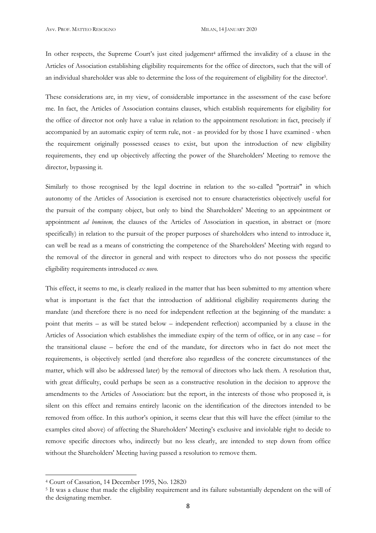In other respects, the Supreme Court's just cited judgement<sup>4</sup> affirmed the invalidity of a clause in the Articles of Association establishing eligibility requirements for the office of directors, such that the will of an individual shareholder was able to determine the loss of the requirement of eligibility for the director5.

These considerations are, in my view, of considerable importance in the assessment of the case before me. In fact, the Articles of Association contains clauses, which establish requirements for eligibility for the office of director not only have a value in relation to the appointment resolution: in fact, precisely if accompanied by an automatic expiry of term rule, not - as provided for by those I have examined - when the requirement originally possessed ceases to exist, but upon the introduction of new eligibility requirements, they end up objectively affecting the power of the Shareholders' Meeting to remove the director, bypassing it.

Similarly to those recognised by the legal doctrine in relation to the so-called "portrait" in which autonomy of the Articles of Association is exercised not to ensure characteristics objectively useful for the pursuit of the company object, but only to bind the Shareholders' Meeting to an appointment or appointment *ad bominem,* the clauses of the Articles of Association in question, in abstract or (more specifically) in relation to the pursuit of the proper purposes of shareholders who intend to introduce it, can well be read as a means of constricting the competence of the Shareholders' Meeting with regard to the removal of the director in general and with respect to directors who do not possess the specific eligibility requirements introduced *ex novo.*

This effect, it seems to me, is clearly realized in the matter that has been submitted to my attention where what is important is the fact that the introduction of additional eligibility requirements during the mandate (and therefore there is no need for independent reflection at the beginning of the mandate: a point that merits – as will be stated below – independent reflection) accompanied by a clause in the Articles of Association which establishes the immediate expiry of the term of office, or in any case – for the transitional clause – before the end of the mandate, for directors who in fact do not meet the requirements, is objectively settled (and therefore also regardless of the concrete circumstances of the matter, which will also be addressed later) by the removal of directors who lack them. A resolution that, with great difficulty, could perhaps be seen as a constructive resolution in the decision to approve the amendments to the Articles of Association: but the report, in the interests of those who proposed it, is silent on this effect and remains entirely laconic on the identification of the directors intended to be removed from office. In this author's opinion, it seems clear that this will have the effect (similar to the examples cited above) of affecting the Shareholders' Meeting's exclusive and inviolable right to decide to remove specific directors who, indirectly but no less clearly, are intended to step down from office without the Shareholders' Meeting having passed a resolution to remove them.

 $\overline{a}$ 

<sup>4</sup> Court of Cassation, 14 December 1995, No. 12820

<sup>5</sup> It was a clause that made the eligibility requirement and its failure substantially dependent on the will of the designating member.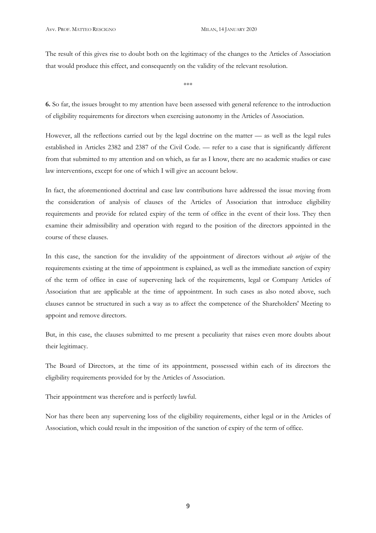The result of this gives rise to doubt both on the legitimacy of the changes to the Articles of Association that would produce this effect, and consequently on the validity of the relevant resolution.

\*\*\*

**6.** So far, the issues brought to my attention have been assessed with general reference to the introduction of eligibility requirements for directors when exercising autonomy in the Articles of Association.

However, all the reflections carried out by the legal doctrine on the matter — as well as the legal rules established in Articles 2382 and 2387 of the Civil Code. — refer to a case that is significantly different from that submitted to my attention and on which, as far as I know, there are no academic studies or case law interventions, except for one of which I will give an account below.

In fact, the aforementioned doctrinal and case law contributions have addressed the issue moving from the consideration of analysis of clauses of the Articles of Association that introduce eligibility requirements and provide for related expiry of the term of office in the event of their loss. They then examine their admissibility and operation with regard to the position of the directors appointed in the course of these clauses.

In this case, the sanction for the invalidity of the appointment of directors without *ab origine* of the requirements existing at the time of appointment is explained, as well as the immediate sanction of expiry of the term of office in case of supervening lack of the requirements, legal or Company Articles of Association that are applicable at the time of appointment. In such cases as also noted above, such clauses cannot be structured in such a way as to affect the competence of the Shareholders' Meeting to appoint and remove directors.

But, in this case, the clauses submitted to me present a peculiarity that raises even more doubts about their legitimacy.

The Board of Directors, at the time of its appointment, possessed within each of its directors the eligibility requirements provided for by the Articles of Association.

Their appointment was therefore and is perfectly lawful.

Nor has there been any supervening loss of the eligibility requirements, either legal or in the Articles of Association, which could result in the imposition of the sanction of expiry of the term of office.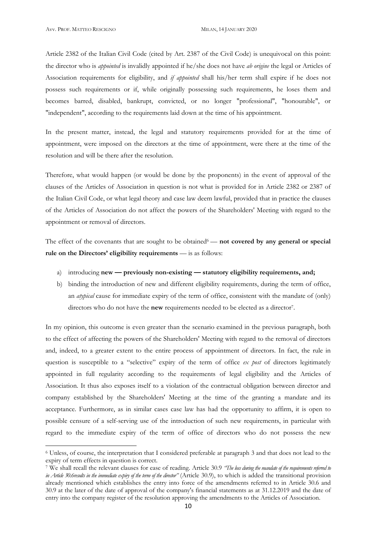$\overline{a}$ 

Article 2382 of the Italian Civil Code (cited by Art. 2387 of the Civil Code) is unequivocal on this point: the director who is *appointed* is invalidly appointed if he/she does not have *ab origine* the legal or Articles of Association requirements for eligibility, and *if appointed* shall his/her term shall expire if he does not possess such requirements or if, while originally possessing such requirements, he loses them and becomes barred, disabled, bankrupt, convicted, or no longer "professional", "honourable", or "independent", according to the requirements laid down at the time of his appointment.

In the present matter, instead, the legal and statutory requirements provided for at the time of appointment, were imposed on the directors at the time of appointment, were there at the time of the resolution and will be there after the resolution.

Therefore, what would happen (or would be done by the proponents) in the event of approval of the clauses of the Articles of Association in question is not what is provided for in Article 2382 or 2387 of the Italian Civil Code, or what legal theory and case law deem lawful, provided that in practice the clauses of the Articles of Association do not affect the powers of the Shareholders' Meeting with regard to the appointment or removal of directors.

The effect of the covenants that are sought to be obtained<sup>6</sup> — not covered by any general or special rule on the Directors' eligibility requirements — is as follows:

- a) introducing **new previously non-existing statutory eligibility requirements, and;**
- b) binding the introduction of new and different eligibility requirements, during the term of office, an *atypical* cause for immediate expiry of the term of office, consistent with the mandate of (only) directors who do not have the **new** requirements needed to be elected as a director7.

In my opinion, this outcome is even greater than the scenario examined in the previous paragraph, both to the effect of affecting the powers of the Shareholders' Meeting with regard to the removal of directors and, indeed, to a greater extent to the entire process of appointment of directors. In fact, the rule in question is susceptible to a "selective" expiry of the term of office *ex post* of directors legitimately appointed in full regularity according to the requirements of legal eligibility and the Articles of Association. It thus also exposes itself to a violation of the contractual obligation between director and company established by the Shareholders' Meeting at the time of the granting a mandate and its acceptance. Furthermore, as in similar cases case law has had the opportunity to affirm, it is open to possible censure of a self-serving use of the introduction of such new requirements, in particular with regard to the immediate expiry of the term of office of directors who do not possess the new

<sup>6</sup> Unless, of course, the interpretation that I considered preferable at paragraph 3 and that does not lead to the expiry of term effects in question is correct.

<sup>7</sup> We shall recall the relevant clauses for ease of reading. Article 30.9 *"The loss during the mandate of the requirements referred to in Article 30.6results in the immediate expiry of the term of the director"* (Article 30.9), to which is added the transitional provision already mentioned which establishes the entry into force of the amendments referred to in Article 30.6 and 30.9 at the later of the date of approval of the company's financial statements as at 31.12.2019 and the date of entry into the company register of the resolution approving the amendments to the Articles of Association.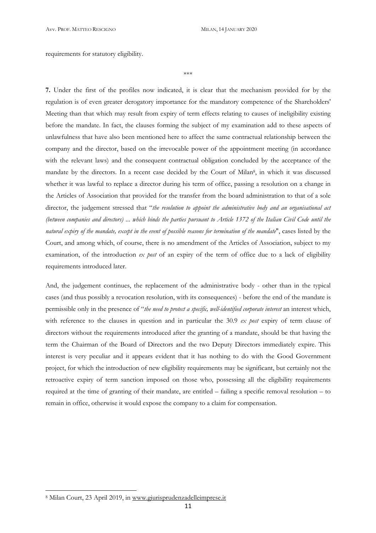requirements for statutory eligibility.

\*\*\*

**7.** Under the first of the profiles now indicated, it is clear that the mechanism provided for by the regulation is of even greater derogatory importance for the mandatory competence of the Shareholders' Meeting than that which may result from expiry of term effects relating to causes of ineligibility existing before the mandate. In fact, the clauses forming the subject of my examination add to these aspects of unlawfulness that have also been mentioned here to affect the same contractual relationship between the company and the director, based on the irrevocable power of the appointment meeting (in accordance with the relevant laws) and the consequent contractual obligation concluded by the acceptance of the mandate by the directors. In a recent case decided by the Court of Milan8, in which it was discussed whether it was lawful to replace a director during his term of office, passing a resolution on a change in the Articles of Association that provided for the transfer from the board administration to that of a sole director, the judgement stressed that "*the resolution to appoint the administrative body and an organisational act (between companies and directors)* ... *which binds the parties pursuant to Article 1372 of the Italian Civil Code until the natural expiry of the mandate, except in the event of possible reasons for termination of the mandate*", cases listed by the Court, and among which, of course, there is no amendment of the Articles of Association, subject to my examination, of the introduction *ex post* of an expiry of the term of office due to a lack of eligibility requirements introduced later.

And, the judgement continues, the replacement of the administrative body - other than in the typical cases (and thus possibly a revocation resolution, with its consequences) - before the end of the mandate is permissible only in the presence of "*the need to protect a specific, well-identified corporate interest* an interest which, with reference to the clauses in question and in particular the 30.9 *ex post* expiry of term clause of directors without the requirements introduced after the granting of a mandate, should be that having the term the Chairman of the Board of Directors and the two Deputy Directors immediately expire. This interest is very peculiar and it appears evident that it has nothing to do with the Good Government project, for which the introduction of new eligibility requirements may be significant, but certainly not the retroactive expiry of term sanction imposed on those who, possessing all the eligibility requirements required at the time of granting of their mandate, are entitled – failing a specific removal resolution – to remain in office, otherwise it would expose the company to a claim for compensation.

l

<sup>8</sup> Milan Court, 23 April 2019, in www.giurisprudenzadelleimprese.it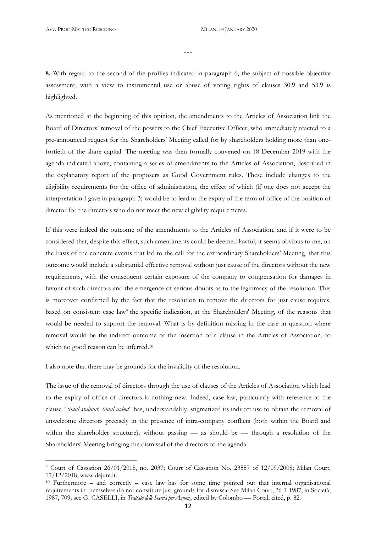\*\*\*

**8.** With regard to the second of the profiles indicated in paragraph 6, the subject of possible objective assessment, with a view to instrumental use or abuse of voting rights of clauses 30.9 and 53.9 is highlighted.

As mentioned at the beginning of this opinion, the amendments to the Articles of Association link the Board of Directors' removal of the powers to the Chief Executive Officer, who immediately reacted to a pre-announced request for the Shareholders' Meeting called for by shareholders holding more than onefortieth of the share capital. The meeting was then formally convened on 18 December 2019 with the agenda indicated above, containing a series of amendments to the Articles of Association, described in the explanatory report of the proposers as Good Government rules. These include changes to the eligibility requirements for the office of administration, the effect of which (if one does not accept the interpretation I gave in paragraph 3) would be to lead to the expiry of the term of office of the position of director for the directors who do not meet the new eligibility requirements.

If this were indeed the outcome of the amendments to the Articles of Association, and if it were to be considered that, despite this effect, such amendments could be deemed lawful, it seems obvious to me, on the basis of the concrete events that led to the call for the extraordinary Shareholders' Meeting, that this outcome would include a substantial effective removal without just cause of the directors without the new requirements, with the consequent certain exposure of the company to compensation for damages in favour of such directors and the emergence of serious doubts as to the legitimacy of the resolution. This is moreover confirmed by the fact that the resolution to remove the directors for just cause requires, based on consistent case law<sup>9</sup> the specific indication, at the Shareholders' Meeting, of the reasons that would be needed to support the removal. What is by definition missing in the case in question where removal would be the indirect outcome of the insertion of a clause in the Articles of Association, to which no good reason can be inferred.10

I also note that there may be grounds for the invalidity of the resolution.

 $\overline{a}$ 

The issue of the removal of directors through the use of clauses of the Articles of Association which lead to the expiry of office of directors is nothing new. Indeed, case law, particularly with reference to the clause "*simul stabunt, simul cadent*" has, understandably, stigmatized its indirect use to obtain the removal of unwelcome directors precisely in the presence of intra-company conflicts (both within the Board and within the shareholder structure), without passing — as should be — through a resolution of the Shareholders' Meeting bringing the dismissal of the directors to the agenda.

<sup>9</sup> Court of Cassation 26/01/2018, no. 2037; Court of Cassation No. 23557 of 12/09/2008; Milan Court, 17/12/2018, www.dejure.it.

<sup>10</sup> Furthermore – and correctly – case law has for some time pointed out that internal organisational requirements in themselves do not constitute just grounds for dismissal See Milan Court, 26-1-1987, in Società, 1987, 709; see G. CASELLI, in *Trattato delle Società per Azioni,,* edited by Colombo — Portal, cited, p. 82.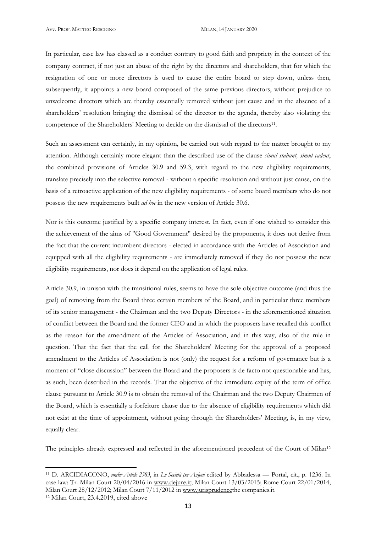l

In particular, case law has classed as a conduct contrary to good faith and propriety in the context of the company contract, if not just an abuse of the right by the directors and shareholders, that for which the resignation of one or more directors is used to cause the entire board to step down, unless then, subsequently, it appoints a new board composed of the same previous directors, without prejudice to unwelcome directors which are thereby essentially removed without just cause and in the absence of a shareholders' resolution bringing the dismissal of the director to the agenda, thereby also violating the competence of the Shareholders' Meeting to decide on the dismissal of the directors<sup>11</sup>.

Such an assessment can certainly, in my opinion, be carried out with regard to the matter brought to my attention. Although certainly more elegant than the described use of the clause *simul stabunt, simul cadent*, the combined provisions of Articles 30.9 and 59.3, with regard to the new eligibility requirements, translate precisely into the selective removal - without a specific resolution and without just cause, on the basis of a retroactive application of the new eligibility requirements - of some board members who do not possess the new requirements built *ad hoc* in the new version of Article 30.6.

Nor is this outcome justified by a specific company interest. In fact, even if one wished to consider this the achievement of the aims of "Good Government" desired by the proponents, it does not derive from the fact that the current incumbent directors - elected in accordance with the Articles of Association and equipped with all the eligibility requirements - are immediately removed if they do not possess the new eligibility requirements, nor does it depend on the application of legal rules.

Article 30.9, in unison with the transitional rules, seems to have the sole objective outcome (and thus the goal) of removing from the Board three certain members of the Board, and in particular three members of its senior management - the Chairman and the two Deputy Directors - in the aforementioned situation of conflict between the Board and the former CEO and in which the proposers have recalled this conflict as the reason for the amendment of the Articles of Association, and in this way, also of the rule in question. That the fact that the call for the Shareholders' Meeting for the approval of a proposed amendment to the Articles of Association is not (only) the request for a reform of governance but is a moment of "close discussion" between the Board and the proposers is de facto not questionable and has, as such, been described in the records. That the objective of the immediate expiry of the term of office clause pursuant to Article 30.9 is to obtain the removal of the Chairman and the two Deputy Chairmen of the Board, which is essentially a forfeiture clause due to the absence of eligibility requirements which did not exist at the time of appointment, without going through the Shareholders' Meeting, is, in my view, equally clear.

The principles already expressed and reflected in the aforementioned precedent of the Court of Milan12

<sup>11</sup> D. ARCIDIACONO, *under Article 2383*, in *Le Società per Azioni* edited by Abbadessa — Portal, cit., p. 1236. In case law: Tr. Milan Court 20/04/2016 in www.dejure.it; Milan Court 13/03/2015; Rome Court 22/01/2014; Milan Court 28/12/2012; Milan Court 7/11/2012 in www.jurisprudencethe companies.it. 12 Milan Court, 23.4.2019, cited above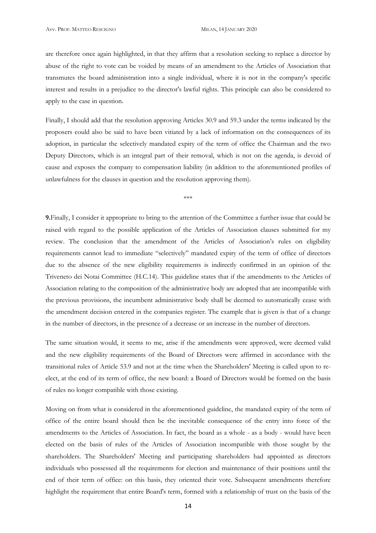are therefore once again highlighted, in that they affirm that a resolution seeking to replace a director by abuse of the right to vote can be voided by means of an amendment to the Articles of Association that transmutes the board administration into a single individual, where it is not in the company's specific interest and results in a prejudice to the director's lawful rights. This principle can also be considered to apply to the case in question.

Finally, I should add that the resolution approving Articles 30.9 and 59.3 under the terms indicated by the proposers could also be said to have been vitiated by a lack of information on the consequences of its adoption, in particular the selectively mandated expiry of the term of office the Chairman and the two Deputy Directors, which is an integral part of their removal, which is not on the agenda, is devoid of cause and exposes the company to compensation liability (in addition to the aforementioned profiles of unlawfulness for the clauses in question and the resolution approving them).

\*\*\*

**9.**Finally, I consider it appropriate to bring to the attention of the Committee a further issue that could be raised with regard to the possible application of the Articles of Association clauses submitted for my review. The conclusion that the amendment of the Articles of Association's rules on eligibility requirements cannot lead to immediate "selectively" mandated expiry of the term of office of directors due to the absence of the new eligibility requirements is indirectly confirmed in an opinion of the Triveneto dei Notai Committee (H.C.14). This guideline states that if the amendments to the Articles of Association relating to the composition of the administrative body are adopted that are incompatible with the previous provisions, the incumbent administrative body shall be deemed to automatically cease with the amendment decision entered in the companies register. The example that is given is that of a change in the number of directors, in the presence of a decrease or an increase in the number of directors.

The same situation would, it seems to me, arise if the amendments were approved, were deemed valid and the new eligibility requirements of the Board of Directors were affirmed in accordance with the transitional rules of Article 53.9 and not at the time when the Shareholders' Meeting is called upon to reelect, at the end of its term of office, the new board: a Board of Directors would be formed on the basis of rules no longer compatible with those existing.

Moving on from what is considered in the aforementioned guideline, the mandated expiry of the term of office of the entire board should then be the inevitable consequence of the entry into force of the amendments to the Articles of Association. In fact, the board as a whole - as a body - would have been elected on the basis of rules of the Articles of Association incompatible with those sought by the shareholders. The Shareholders' Meeting and participating shareholders had appointed as directors individuals who possessed all the requirements for election and maintenance of their positions until the end of their term of office: on this basis, they oriented their vote. Subsequent amendments therefore highlight the requirement that entire Board's term, formed with a relationship of trust on the basis of the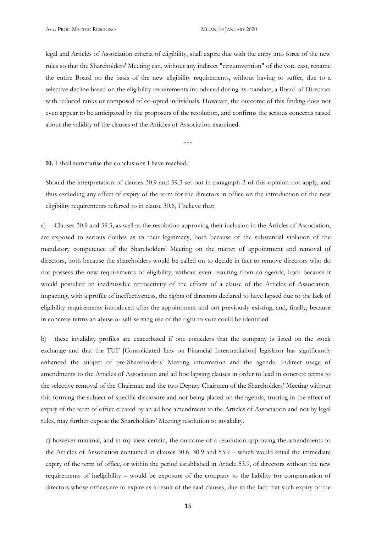legal and Articles of Association criteria of eligibility, shall expire due with the entry into force of the new rules so that the Shareholders' Meeting can, without any indirect "circumvention" of the vote cast, rename the entire Board on the basis of the new eligibility requirements, without having to suffer, due to a selective decline based on the eligibility requirements introduced during its mandate, a Board of Directors with reduced ranks or composed of co-opted individuals. However, the outcome of this finding does not even appear to be anticipated by the proposers of the resolution, and confirms the serious concerns raised about the validity of the clauses of the Articles of Association examined.

\*\*\*

**10.** I shall summarise the conclusions I have reached.

Should the interpretation of clauses 30.9 and 59.3 set out in paragraph 3 of this opinion not apply, and thus excluding any effect of expiry of the term for the directors in office on the introduction of the new eligibility requirements referred to in clause 30.6, I believe that:

a) Clauses 30.9 and 59.3, as well as the resolution approving their inclusion in the Articles of Association, are exposed to serious doubts as to their legitimacy, both because of the substantial violation of the mandatory competence of the Shareholders' Meeting on the matter of appointment and removal of directors, both because the shareholders would be called on to decide in fact to remove directors who do not possess the new requirements of eligibility, without even resulting from an agenda, both because it would postulate an inadmissible retroactivity of the effects of a clause of the Articles of Association, impacting, with a profile of ineffectiveness, the rights of directors declared to have lapsed due to the lack of eligibility requirements introduced after the appointment and not previously existing, and, finally, because in concrete terms an abuse or self-serving use of the right to vote could be identified.

b) these invalidity profiles are exacerbated if one considers that the company is listed on the stock exchange and that the TUF [Consolidated Law on Financial Intermediation] legislator has significantly enhanced the subject of pre-Shareholders' Meeting information and the agenda. Indirect usage of amendments to the Articles of Association and ad hoc lapsing clauses in order to lead in concrete terms to the selective removal of the Chairman and the two Deputy Chairmen of the Shareholders' Meeting without this forming the subject of specific disclosure and not being placed on the agenda, trusting in the effect of expiry of the term of office created by an ad hoc amendment to the Articles of Association and not by legal rules, may further expose the Shareholders' Meeting resolution to invalidity.

c) however minimal, and in my view certain, the outcome of a resolution approving the amendments to the Articles of Association contained in clauses 30.6, 30.9 and 53.9 – which would entail the immediate expiry of the term of office, or within the period established in Article 53.9, of directors without the new requirements of ineligibility – would be exposure of the company to the liability for compensation of directors whose offices are to expire as a result of the said clauses, due to the fact that such expiry of the